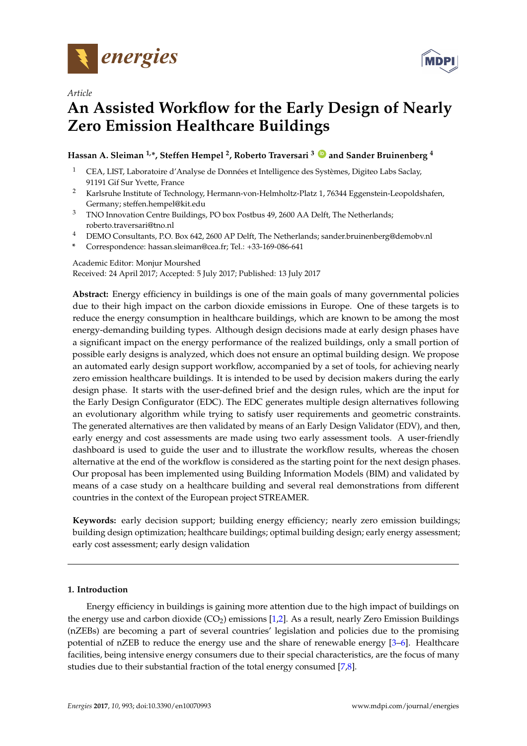



# *Article*

# **An Assisted Workflow for the Early Design of Nearly Zero Emission Healthcare Buildings**

# **Hassan A. Sleiman 1,\*, Steffen Hempel <sup>2</sup> , Roberto Traversari <sup>3</sup> [ID](https://orcid.org/0000-0001-9116-3849) and Sander Bruinenberg <sup>4</sup>**

- <sup>1</sup> CEA, LIST, Laboratoire d'Analyse de Données et Intelligence des Systèmes, Digiteo Labs Saclay, 91191 Gif Sur Yvette, France
- <sup>2</sup> Karlsruhe Institute of Technology, Hermann-von-Helmholtz-Platz 1, 76344 Eggenstein-Leopoldshafen, Germany; steffen.hempel@kit.edu
- <sup>3</sup> TNO Innovation Centre Buildings, PO box Postbus 49, 2600 AA Delft, The Netherlands; roberto.traversari@tno.nl
- <sup>4</sup> DEMO Consultants, P.O. Box 642, 2600 AP Delft, The Netherlands; sander.bruinenberg@demobv.nl
- **\*** Correspondence: hassan.sleiman@cea.fr; Tel.: +33-169-086-641

# Academic Editor: Monjur Mourshed

Received: 24 April 2017; Accepted: 5 July 2017; Published: 13 July 2017

**Abstract:** Energy efficiency in buildings is one of the main goals of many governmental policies due to their high impact on the carbon dioxide emissions in Europe. One of these targets is to reduce the energy consumption in healthcare buildings, which are known to be among the most energy-demanding building types. Although design decisions made at early design phases have a significant impact on the energy performance of the realized buildings, only a small portion of possible early designs is analyzed, which does not ensure an optimal building design. We propose an automated early design support workflow, accompanied by a set of tools, for achieving nearly zero emission healthcare buildings. It is intended to be used by decision makers during the early design phase. It starts with the user-defined brief and the design rules, which are the input for the Early Design Configurator (EDC). The EDC generates multiple design alternatives following an evolutionary algorithm while trying to satisfy user requirements and geometric constraints. The generated alternatives are then validated by means of an Early Design Validator (EDV), and then, early energy and cost assessments are made using two early assessment tools. A user-friendly dashboard is used to guide the user and to illustrate the workflow results, whereas the chosen alternative at the end of the workflow is considered as the starting point for the next design phases. Our proposal has been implemented using Building Information Models (BIM) and validated by means of a case study on a healthcare building and several real demonstrations from different countries in the context of the European project STREAMER.

**Keywords:** early decision support; building energy efficiency; nearly zero emission buildings; building design optimization; healthcare buildings; optimal building design; early energy assessment; early cost assessment; early design validation

# **1. Introduction**

Energy efficiency in buildings is gaining more attention due to the high impact of buildings on the energy use and carbon dioxide  $(CO_2)$  emissions [\[1](#page-22-0)[,2\]](#page-22-1). As a result, nearly Zero Emission Buildings (nZEBs) are becoming a part of several countries' legislation and policies due to the promising potential of nZEB to reduce the energy use and the share of renewable energy [\[3–](#page-22-2)[6\]](#page-22-3). Healthcare facilities, being intensive energy consumers due to their special characteristics, are the focus of many studies due to their substantial fraction of the total energy consumed [\[7,](#page-22-4)[8\]](#page-22-5).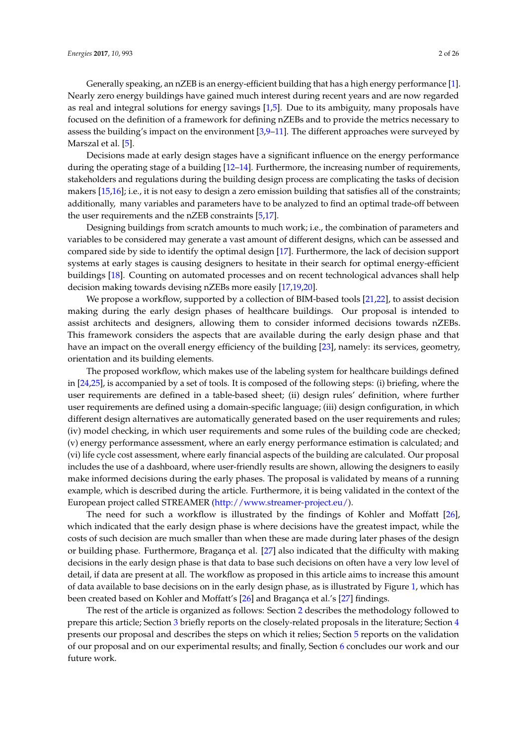Generally speaking, an nZEB is an energy-efficient building that has a high energy performance [\[1\]](#page-22-0). Nearly zero energy buildings have gained much interest during recent years and are now regarded as real and integral solutions for energy savings [\[1,](#page-22-0)[5\]](#page-22-6). Due to its ambiguity, many proposals have focused on the definition of a framework for defining nZEBs and to provide the metrics necessary to assess the building's impact on the environment [\[3,](#page-22-2)[9–](#page-22-7)[11\]](#page-22-8). The different approaches were surveyed by Marszal et al. [\[5\]](#page-22-6).

Decisions made at early design stages have a significant influence on the energy performance during the operating stage of a building [12-[14\]](#page-22-10). Furthermore, the increasing number of requirements, stakeholders and regulations during the building design process are complicating the tasks of decision makers [\[15](#page-22-11)[,16\]](#page-22-12); i.e., it is not easy to design a zero emission building that satisfies all of the constraints; additionally, many variables and parameters have to be analyzed to find an optimal trade-off between the user requirements and the nZEB constraints [\[5](#page-22-6)[,17\]](#page-22-13).

Designing buildings from scratch amounts to much work; i.e., the combination of parameters and variables to be considered may generate a vast amount of different designs, which can be assessed and compared side by side to identify the optimal design [\[17\]](#page-22-13). Furthermore, the lack of decision support systems at early stages is causing designers to hesitate in their search for optimal energy-efficient buildings [\[18\]](#page-22-14). Counting on automated processes and on recent technological advances shall help decision making towards devising nZEBs more easily [\[17,](#page-22-13)[19,](#page-22-15)[20\]](#page-22-16).

We propose a workflow, supported by a collection of BIM-based tools [\[21](#page-22-17)[,22\]](#page-22-18), to assist decision making during the early design phases of healthcare buildings. Our proposal is intended to assist architects and designers, allowing them to consider informed decisions towards nZEBs. This framework considers the aspects that are available during the early design phase and that have an impact on the overall energy efficiency of the building [\[23\]](#page-22-19), namely: its services, geometry, orientation and its building elements.

The proposed workflow, which makes use of the labeling system for healthcare buildings defined in [\[24,](#page-22-20)[25\]](#page-22-21), is accompanied by a set of tools. It is composed of the following steps: (i) briefing, where the user requirements are defined in a table-based sheet; (ii) design rules' definition, where further user requirements are defined using a domain-specific language; (iii) design configuration, in which different design alternatives are automatically generated based on the user requirements and rules; (iv) model checking, in which user requirements and some rules of the building code are checked; (v) energy performance assessment, where an early energy performance estimation is calculated; and (vi) life cycle cost assessment, where early financial aspects of the building are calculated. Our proposal includes the use of a dashboard, where user-friendly results are shown, allowing the designers to easily make informed decisions during the early phases. The proposal is validated by means of a running example, which is described during the article. Furthermore, it is being validated in the context of the European project called STREAMER [\(http://www.streamer-project.eu/\)](http://www.streamer-project.eu/).

The need for such a workflow is illustrated by the findings of Kohler and Moffatt [\[26\]](#page-22-22), which indicated that the early design phase is where decisions have the greatest impact, while the costs of such decision are much smaller than when these are made during later phases of the design or building phase. Furthermore, Bragança et al. [\[27\]](#page-23-0) also indicated that the difficulty with making decisions in the early design phase is that data to base such decisions on often have a very low level of detail, if data are present at all. The workflow as proposed in this article aims to increase this amount of data available to base decisions on in the early design phase, as is illustrated by Figure [1,](#page-2-0) which has been created based on Kohler and Moffatt's [\[26\]](#page-22-22) and Bragança et al.'s [\[27\]](#page-23-0) findings.

The rest of the article is organized as follows: Section [2](#page-2-1) describes the methodology followed to prepare this article; Section [3](#page-2-2) briefly reports on the closely-related proposals in the literature; Section [4](#page-4-0) presents our proposal and describes the steps on which it relies; Section [5](#page-19-0) reports on the validation of our proposal and on our experimental results; and finally, Section [6](#page-20-0) concludes our work and our future work.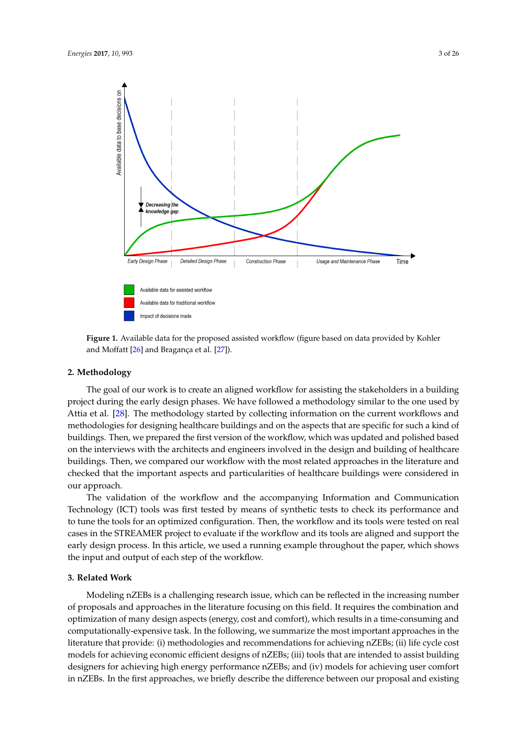<span id="page-2-0"></span>

**Figure 1.** Available data for the proposed assisted workflow (figure based on data provided by Kohler and Moffatt [\[26\]](#page-22-22) and Bragança et al. [\[27\]](#page-23-0)).

## <span id="page-2-1"></span>**2. Methodology**

The goal of our work is to create an aligned workflow for assisting the stakeholders in a building project during the early design phases. We have followed a methodology similar to the one used by Attia et al. [\[28\]](#page-23-1). The methodology started by collecting information on the current workflows and methodologies for designing healthcare buildings and on the aspects that are specific for such a kind of buildings. Then, we prepared the first version of the workflow, which was updated and polished based on the interviews with the architects and engineers involved in the design and building of healthcare buildings. Then, we compared our workflow with the most related approaches in the literature and checked that the important aspects and particularities of healthcare buildings were considered in our approach.

The validation of the workflow and the accompanying Information and Communication Technology (ICT) tools was first tested by means of synthetic tests to check its performance and to tune the tools for an optimized configuration. Then, the workflow and its tools were tested on real cases in the STREAMER project to evaluate if the workflow and its tools are aligned and support the early design process. In this article, we used a running example throughout the paper, which shows the input and output of each step of the workflow.

# <span id="page-2-2"></span>**3. Related Work**

Modeling nZEBs is a challenging research issue, which can be reflected in the increasing number of proposals and approaches in the literature focusing on this field. It requires the combination and optimization of many design aspects (energy, cost and comfort), which results in a time-consuming and computationally-expensive task. In the following, we summarize the most important approaches in the literature that provide: (i) methodologies and recommendations for achieving nZEBs; (ii) life cycle cost models for achieving economic efficient designs of nZEBs; (iii) tools that are intended to assist building designers for achieving high energy performance nZEBs; and (iv) models for achieving user comfort in nZEBs. In the first approaches, we briefly describe the difference between our proposal and existing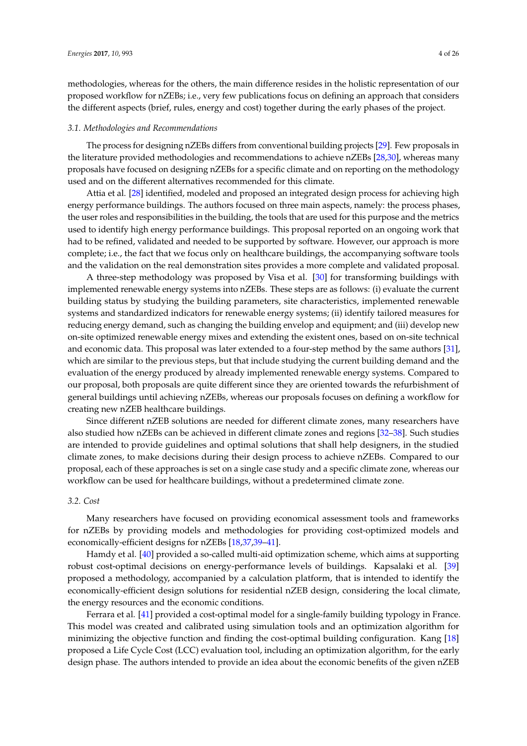methodologies, whereas for the others, the main difference resides in the holistic representation of our proposed workflow for nZEBs; i.e., very few publications focus on defining an approach that considers the different aspects (brief, rules, energy and cost) together during the early phases of the project.

#### *3.1. Methodologies and Recommendations*

The process for designing nZEBs differs from conventional building projects [\[29\]](#page-23-2). Few proposals in the literature provided methodologies and recommendations to achieve nZEBs [\[28,](#page-23-1)[30\]](#page-23-3), whereas many proposals have focused on designing nZEBs for a specific climate and on reporting on the methodology used and on the different alternatives recommended for this climate.

Attia et al. [\[28\]](#page-23-1) identified, modeled and proposed an integrated design process for achieving high energy performance buildings. The authors focused on three main aspects, namely: the process phases, the user roles and responsibilities in the building, the tools that are used for this purpose and the metrics used to identify high energy performance buildings. This proposal reported on an ongoing work that had to be refined, validated and needed to be supported by software. However, our approach is more complete; i.e., the fact that we focus only on healthcare buildings, the accompanying software tools and the validation on the real demonstration sites provides a more complete and validated proposal.

A three-step methodology was proposed by Visa et al. [\[30\]](#page-23-3) for transforming buildings with implemented renewable energy systems into nZEBs. These steps are as follows: (i) evaluate the current building status by studying the building parameters, site characteristics, implemented renewable systems and standardized indicators for renewable energy systems; (ii) identify tailored measures for reducing energy demand, such as changing the building envelop and equipment; and (iii) develop new on-site optimized renewable energy mixes and extending the existent ones, based on on-site technical and economic data. This proposal was later extended to a four-step method by the same authors [\[31\]](#page-23-4), which are similar to the previous steps, but that include studying the current building demand and the evaluation of the energy produced by already implemented renewable energy systems. Compared to our proposal, both proposals are quite different since they are oriented towards the refurbishment of general buildings until achieving nZEBs, whereas our proposals focuses on defining a workflow for creating new nZEB healthcare buildings.

Since different nZEB solutions are needed for different climate zones, many researchers have also studied how nZEBs can be achieved in different climate zones and regions [\[32](#page-23-5)[–38\]](#page-23-6). Such studies are intended to provide guidelines and optimal solutions that shall help designers, in the studied climate zones, to make decisions during their design process to achieve nZEBs. Compared to our proposal, each of these approaches is set on a single case study and a specific climate zone, whereas our workflow can be used for healthcare buildings, without a predetermined climate zone.

#### *3.2. Cost*

Many researchers have focused on providing economical assessment tools and frameworks for nZEBs by providing models and methodologies for providing cost-optimized models and economically-efficient designs for nZEBs [\[18,](#page-22-14)[37,](#page-23-7)[39](#page-23-8)[–41\]](#page-23-9).

Hamdy et al. [\[40\]](#page-23-10) provided a so-called multi-aid optimization scheme, which aims at supporting robust cost-optimal decisions on energy-performance levels of buildings. Kapsalaki et al. [\[39\]](#page-23-8) proposed a methodology, accompanied by a calculation platform, that is intended to identify the economically-efficient design solutions for residential nZEB design, considering the local climate, the energy resources and the economic conditions.

Ferrara et al. [\[41\]](#page-23-9) provided a cost-optimal model for a single-family building typology in France. This model was created and calibrated using simulation tools and an optimization algorithm for minimizing the objective function and finding the cost-optimal building configuration. Kang [\[18\]](#page-22-14) proposed a Life Cycle Cost (LCC) evaluation tool, including an optimization algorithm, for the early design phase. The authors intended to provide an idea about the economic benefits of the given nZEB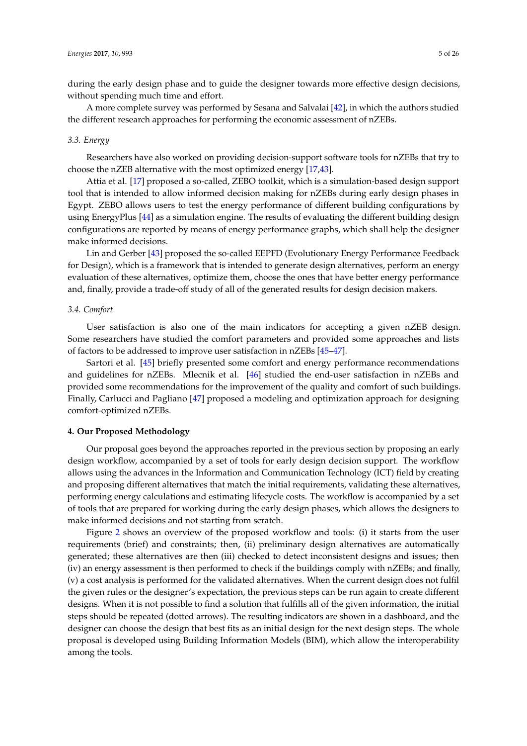during the early design phase and to guide the designer towards more effective design decisions, without spending much time and effort.

A more complete survey was performed by Sesana and Salvalai [\[42\]](#page-23-11), in which the authors studied the different research approaches for performing the economic assessment of nZEBs.

#### *3.3. Energy*

Researchers have also worked on providing decision-support software tools for nZEBs that try to choose the nZEB alternative with the most optimized energy [\[17](#page-22-13)[,43\]](#page-23-12).

Attia et al. [\[17\]](#page-22-13) proposed a so-called, ZEBO toolkit, which is a simulation-based design support tool that is intended to allow informed decision making for nZEBs during early design phases in Egypt. ZEBO allows users to test the energy performance of different building configurations by using EnergyPlus [\[44\]](#page-23-13) as a simulation engine. The results of evaluating the different building design configurations are reported by means of energy performance graphs, which shall help the designer make informed decisions.

Lin and Gerber [\[43\]](#page-23-12) proposed the so-called EEPFD (Evolutionary Energy Performance Feedback for Design), which is a framework that is intended to generate design alternatives, perform an energy evaluation of these alternatives, optimize them, choose the ones that have better energy performance and, finally, provide a trade-off study of all of the generated results for design decision makers.

#### *3.4. Comfort*

User satisfaction is also one of the main indicators for accepting a given nZEB design. Some researchers have studied the comfort parameters and provided some approaches and lists of factors to be addressed to improve user satisfaction in nZEBs [\[45–](#page-23-14)[47\]](#page-23-15).

Sartori et al. [\[45\]](#page-23-14) briefly presented some comfort and energy performance recommendations and guidelines for nZEBs. Mlecnik et al. [\[46\]](#page-23-16) studied the end-user satisfaction in nZEBs and provided some recommendations for the improvement of the quality and comfort of such buildings. Finally, Carlucci and Pagliano [\[47\]](#page-23-15) proposed a modeling and optimization approach for designing comfort-optimized nZEBs.

#### <span id="page-4-0"></span>**4. Our Proposed Methodology**

Our proposal goes beyond the approaches reported in the previous section by proposing an early design workflow, accompanied by a set of tools for early design decision support. The workflow allows using the advances in the Information and Communication Technology (ICT) field by creating and proposing different alternatives that match the initial requirements, validating these alternatives, performing energy calculations and estimating lifecycle costs. The workflow is accompanied by a set of tools that are prepared for working during the early design phases, which allows the designers to make informed decisions and not starting from scratch.

Figure [2](#page-5-0) shows an overview of the proposed workflow and tools: (i) it starts from the user requirements (brief) and constraints; then, (ii) preliminary design alternatives are automatically generated; these alternatives are then (iii) checked to detect inconsistent designs and issues; then (iv) an energy assessment is then performed to check if the buildings comply with nZEBs; and finally, (v) a cost analysis is performed for the validated alternatives. When the current design does not fulfil the given rules or the designer's expectation, the previous steps can be run again to create different designs. When it is not possible to find a solution that fulfills all of the given information, the initial steps should be repeated (dotted arrows). The resulting indicators are shown in a dashboard, and the designer can choose the design that best fits as an initial design for the next design steps. The whole proposal is developed using Building Information Models (BIM), which allow the interoperability among the tools.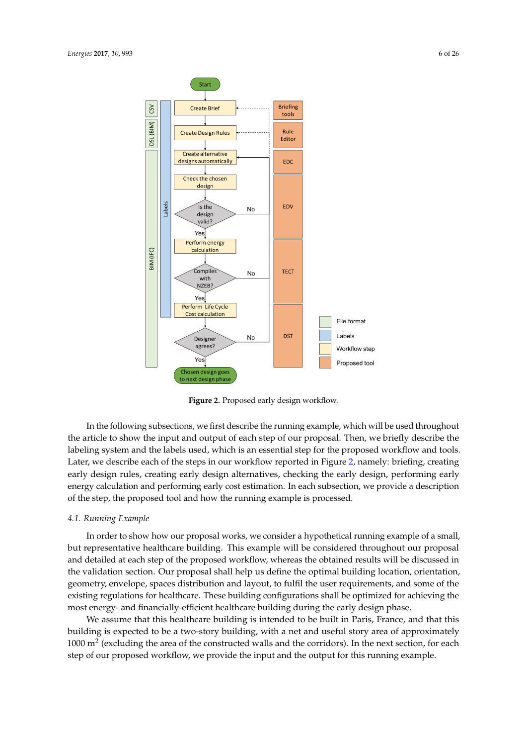<span id="page-5-0"></span>

**Figure 2.** Proposed early design workflow.

In the following subsections, we first describe the running example, which will be used throughout the article to show the input and output of each step of our proposal. Then, we briefly describe the labeling system and the labels used, which is an essential step for the proposed workflow and tools. Later, we describe each of the steps in our workflow reported in Figure [2,](#page-5-0) namely: briefing, creating early design rules, creating early design alternatives, checking the early design, performing early energy calculation and performing early cost estimation. In each subsection, we provide a description of the step, the proposed tool and how the running example is processed.

# *4.1. Running Example*

In order to show how our proposal works, we consider a hypothetical running example of a small, but representative healthcare building. This example will be considered throughout our proposal and detailed at each step of the proposed workflow, whereas the obtained results will be discussed in the validation section. Our proposal shall help us define the optimal building location, orientation, geometry, envelope, spaces distribution and layout, to fulfil the user requirements, and some of the existing regulations for healthcare. These building configurations shall be optimized for achieving the most energy- and financially-efficient healthcare building during the early design phase.

We assume that this healthcare building is intended to be built in Paris, France, and that this building is expected to be a two-story building, with a net and useful story area of approximately 1000  $m<sup>2</sup>$  (excluding the area of the constructed walls and the corridors). In the next section, for each step of our proposed workflow, we provide the input and the output for this running example.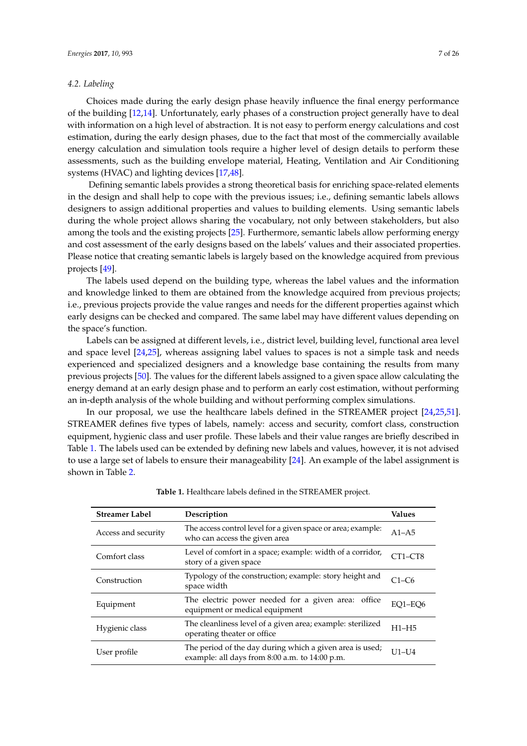# *4.2. Labeling*

Choices made during the early design phase heavily influence the final energy performance of the building [\[12](#page-22-9)[,14\]](#page-22-10). Unfortunately, early phases of a construction project generally have to deal with information on a high level of abstraction. It is not easy to perform energy calculations and cost estimation, during the early design phases, due to the fact that most of the commercially available energy calculation and simulation tools require a higher level of design details to perform these assessments, such as the building envelope material, Heating, Ventilation and Air Conditioning systems (HVAC) and lighting devices [\[17](#page-22-13)[,48\]](#page-23-17).

Defining semantic labels provides a strong theoretical basis for enriching space-related elements in the design and shall help to cope with the previous issues; i.e., defining semantic labels allows designers to assign additional properties and values to building elements. Using semantic labels during the whole project allows sharing the vocabulary, not only between stakeholders, but also among the tools and the existing projects [\[25\]](#page-22-21). Furthermore, semantic labels allow performing energy and cost assessment of the early designs based on the labels' values and their associated properties. Please notice that creating semantic labels is largely based on the knowledge acquired from previous projects [\[49\]](#page-23-18).

The labels used depend on the building type, whereas the label values and the information and knowledge linked to them are obtained from the knowledge acquired from previous projects; i.e., previous projects provide the value ranges and needs for the different properties against which early designs can be checked and compared. The same label may have different values depending on the space's function.

Labels can be assigned at different levels, i.e., district level, building level, functional area level and space level [\[24](#page-22-20)[,25\]](#page-22-21), whereas assigning label values to spaces is not a simple task and needs experienced and specialized designers and a knowledge base containing the results from many previous projects [\[50\]](#page-23-19). The values for the different labels assigned to a given space allow calculating the energy demand at an early design phase and to perform an early cost estimation, without performing an in-depth analysis of the whole building and without performing complex simulations.

In our proposal, we use the healthcare labels defined in the STREAMER project [\[24,](#page-22-20)[25,](#page-22-21)[51\]](#page-24-0). STREAMER defines five types of labels, namely: access and security, comfort class, construction equipment, hygienic class and user profile. These labels and their value ranges are briefly described in Table [1.](#page-6-0) The labels used can be extended by defining new labels and values, however, it is not advised to use a large set of labels to ensure their manageability [\[24\]](#page-22-20). An example of the label assignment is shown in Table [2.](#page-7-0)

<span id="page-6-0"></span>

| <b>Streamer Label</b> | Description                                                                                                | <b>Values</b> |
|-----------------------|------------------------------------------------------------------------------------------------------------|---------------|
| Access and security   | The access control level for a given space or area; example:<br>who can access the given area              | $A1 - A5$     |
| Comfort class         | Level of comfort in a space; example: width of a corridor,<br>story of a given space                       | CT1-CT8       |
| Construction          | Typology of the construction; example: story height and<br>space width                                     | $C1-C6$       |
| Equipment             | The electric power needed for a given area: office<br>equipment or medical equipment                       | EQ1-EQ6       |
| Hygienic class        | The cleanliness level of a given area; example: sterilized<br>operating theater or office                  | $H1-H5$       |
| User profile          | The period of the day during which a given area is used;<br>example: all days from 8:00 a.m. to 14:00 p.m. | <b>U1-U4</b>  |

**Table 1.** Healthcare labels defined in the STREAMER project.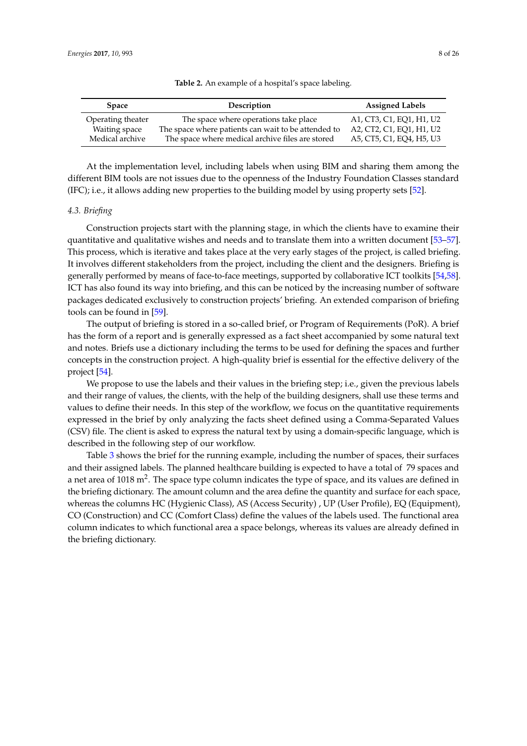<span id="page-7-0"></span>

| <b>Space</b>      | Description                                         | <b>Assigned Labels</b>   |
|-------------------|-----------------------------------------------------|--------------------------|
| Operating theater | The space where operations take place               | A1, CT3, C1, EO1, H1, U2 |
| Waiting space     | The space where patients can wait to be attended to | A2, CT2, C1, EQ1, H1, U2 |
| Medical archive   | The space where medical archive files are stored    | A5, CT5, C1, EQ4, H5, U3 |

|  | Table 2. An example of a hospital's space labeling. |
|--|-----------------------------------------------------|
|  |                                                     |

At the implementation level, including labels when using BIM and sharing them among the different BIM tools are not issues due to the openness of the Industry Foundation Classes standard (IFC); i.e., it allows adding new properties to the building model by using property sets [\[52\]](#page-24-1).

## *4.3. Briefing*

Construction projects start with the planning stage, in which the clients have to examine their quantitative and qualitative wishes and needs and to translate them into a written document [\[53–](#page-24-2)[57\]](#page-24-3). This process, which is iterative and takes place at the very early stages of the project, is called briefing. It involves different stakeholders from the project, including the client and the designers. Briefing is generally performed by means of face-to-face meetings, supported by collaborative ICT toolkits [\[54](#page-24-4)[,58\]](#page-24-5). ICT has also found its way into briefing, and this can be noticed by the increasing number of software packages dedicated exclusively to construction projects' briefing. An extended comparison of briefing tools can be found in [\[59\]](#page-24-6).

The output of briefing is stored in a so-called brief, or Program of Requirements (PoR). A brief has the form of a report and is generally expressed as a fact sheet accompanied by some natural text and notes. Briefs use a dictionary including the terms to be used for defining the spaces and further concepts in the construction project. A high-quality brief is essential for the effective delivery of the project [\[54\]](#page-24-4).

We propose to use the labels and their values in the briefing step; i.e., given the previous labels and their range of values, the clients, with the help of the building designers, shall use these terms and values to define their needs. In this step of the workflow, we focus on the quantitative requirements expressed in the brief by only analyzing the facts sheet defined using a Comma-Separated Values (CSV) file. The client is asked to express the natural text by using a domain-specific language, which is described in the following step of our workflow.

Table [3](#page-8-0) shows the brief for the running example, including the number of spaces, their surfaces and their assigned labels. The planned healthcare building is expected to have a total of 79 spaces and a net area of 1018 m<sup>2</sup>. The space type column indicates the type of space, and its values are defined in the briefing dictionary. The amount column and the area define the quantity and surface for each space, whereas the columns HC (Hygienic Class), AS (Access Security) , UP (User Profile), EQ (Equipment), CO (Construction) and CC (Comfort Class) define the values of the labels used. The functional area column indicates to which functional area a space belongs, whereas its values are already defined in the briefing dictionary.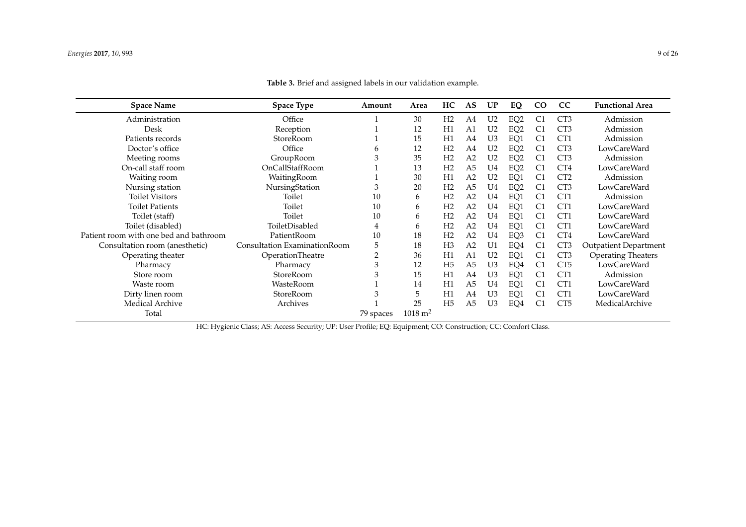| <b>Space Name</b>                      | <b>Space Type</b>            | Amount         | Area                   | HC             | AS             | UP             | EQ              | $\rm CO$       | CC              | <b>Functional Area</b>       |
|----------------------------------------|------------------------------|----------------|------------------------|----------------|----------------|----------------|-----------------|----------------|-----------------|------------------------------|
| Administration                         | Office                       |                | 30                     | H2             | A4             | U <sub>2</sub> | EQ <sub>2</sub> | C <sub>1</sub> | CT <sub>3</sub> | Admission                    |
| Desk                                   | Reception                    |                | 12                     | H1             | A1             | U <sub>2</sub> | EQ <sub>2</sub> | C <sub>1</sub> | CT <sub>3</sub> | Admission                    |
| Patients records                       | StoreRoom                    |                | 15                     | H1             | A4             | U <sub>3</sub> | EQ1             | C <sub>1</sub> | CT1             | Admission                    |
| Doctor's office                        | Office                       | b              | 12                     | H2             | A4             | U <sub>2</sub> | EQ <sub>2</sub> | C <sub>1</sub> | CT <sub>3</sub> | LowCareWard                  |
| Meeting rooms                          | GroupRoom                    | 3              | 35                     | H2             | A <sub>2</sub> | U <sub>2</sub> | EQ <sub>2</sub> | C <sub>1</sub> | CT <sub>3</sub> | Admission                    |
| On-call staff room                     | OnCallStaffRoom              |                | 13                     | H2             | A <sub>5</sub> | U <sub>4</sub> | EQ <sub>2</sub> | C <sub>1</sub> | CT4             | LowCareWard                  |
| Waiting room                           | WaitingRoom                  |                | 30                     | H1             | A <sub>2</sub> | U <sub>2</sub> | EQ1             | C <sub>1</sub> | CT <sub>2</sub> | Admission                    |
| Nursing station                        | NursingStation               | 3              | 20                     | H2             | A <sub>5</sub> | U4             | EQ <sub>2</sub> | C <sub>1</sub> | CT <sub>3</sub> | LowCareWard                  |
| <b>Toilet Visitors</b>                 | Toilet                       | 10             | 6                      | H2             | A <sub>2</sub> | U <sub>4</sub> | EQ1             | C <sub>1</sub> | CT1             | Admission                    |
| <b>Toilet Patients</b>                 | Toilet                       | 10             | 6                      | H2             | A <sub>2</sub> | U <sub>4</sub> | EQ1             | C <sub>1</sub> | CT1             | <b>LowCareWard</b>           |
| Toilet (staff)                         | Toilet                       | 10             | 6                      | H2             | A <sub>2</sub> | U4             | EQ1             | C <sub>1</sub> | CT1             | LowCareWard                  |
| Toilet (disabled)                      | ToiletDisabled               | 4              | 6                      | H2             | A <sub>2</sub> | U <sub>4</sub> | EQ1             | C <sub>1</sub> | CT1             | <b>LowCareWard</b>           |
| Patient room with one bed and bathroom | PatientRoom                  | 10             | 18                     | H2             | A <sub>2</sub> | U <sub>4</sub> | EQ3             | C <sub>1</sub> | CT4             | <b>LowCareWard</b>           |
| Consultation room (anesthetic)         | Consultation ExaminationRoom | 5              | 18                     | H <sub>3</sub> | A <sub>2</sub> | U1             | EQ4             | C <sub>1</sub> | CT <sub>3</sub> | <b>Outpatient Department</b> |
| Operating theater                      | OperationTheatre             | $\overline{2}$ | 36                     | H1             | A1             | U <sub>2</sub> | EQ1             | C <sub>1</sub> | CT <sub>3</sub> | <b>Operating Theaters</b>    |
| Pharmacy                               | Pharmacy                     | 3              | 12                     | H <sub>5</sub> | A <sub>5</sub> | U <sub>3</sub> | EQ4             | C <sub>1</sub> | CT <sub>5</sub> | LowCareWard                  |
| Store room                             | StoreRoom                    | 3              | 15                     | H1             | A4             | U <sub>3</sub> | EQ1             | C <sub>1</sub> | CT1             | Admission                    |
| Waste room                             | WasteRoom                    |                | 14                     | H1             | A <sub>5</sub> | U <sub>4</sub> | EQ1             | C <sub>1</sub> | CT1             | <b>LowCareWard</b>           |
| Dirty linen room                       | StoreRoom                    | 3              | 5                      | H1             | A4             | U <sub>3</sub> | EQ1             | C <sub>1</sub> | CT1             | <b>LowCareWard</b>           |
| Medical Archive                        | Archives                     |                | 25                     | H <sub>5</sub> | A <sub>5</sub> | U <sub>3</sub> | EQ4             | C <sub>1</sub> | CT <sub>5</sub> | MedicalArchive               |
| Total                                  |                              | 79 spaces      | $1018 \; \mathrm{m}^2$ |                |                |                |                 |                |                 |                              |

**Table 3.** Brief and assigned labels in our validation example.

<span id="page-8-0"></span>HC: Hygienic Class; AS: Access Security; UP: User Profile; EQ: Equipment; CO: Construction; CC: Comfort Class.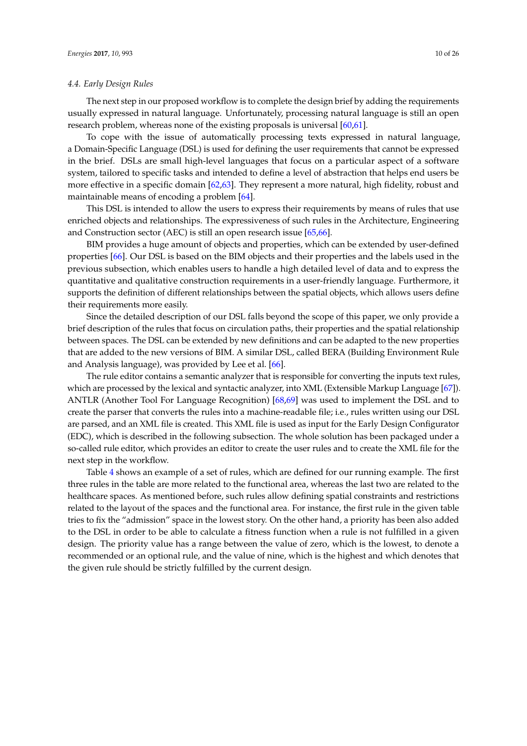#### *4.4. Early Design Rules*

The next step in our proposed workflow is to complete the design brief by adding the requirements usually expressed in natural language. Unfortunately, processing natural language is still an open research problem, whereas none of the existing proposals is universal [\[60,](#page-24-7)[61\]](#page-24-8).

To cope with the issue of automatically processing texts expressed in natural language, a Domain-Specific Language (DSL) is used for defining the user requirements that cannot be expressed in the brief. DSLs are small high-level languages that focus on a particular aspect of a software system, tailored to specific tasks and intended to define a level of abstraction that helps end users be more effective in a specific domain [\[62](#page-24-9)[,63\]](#page-24-10). They represent a more natural, high fidelity, robust and maintainable means of encoding a problem [\[64\]](#page-24-11).

This DSL is intended to allow the users to express their requirements by means of rules that use enriched objects and relationships. The expressiveness of such rules in the Architecture, Engineering and Construction sector (AEC) is still an open research issue [\[65](#page-24-12)[,66\]](#page-24-13).

BIM provides a huge amount of objects and properties, which can be extended by user-defined properties [\[66\]](#page-24-13). Our DSL is based on the BIM objects and their properties and the labels used in the previous subsection, which enables users to handle a high detailed level of data and to express the quantitative and qualitative construction requirements in a user-friendly language. Furthermore, it supports the definition of different relationships between the spatial objects, which allows users define their requirements more easily.

Since the detailed description of our DSL falls beyond the scope of this paper, we only provide a brief description of the rules that focus on circulation paths, their properties and the spatial relationship between spaces. The DSL can be extended by new definitions and can be adapted to the new properties that are added to the new versions of BIM. A similar DSL, called BERA (Building Environment Rule and Analysis language), was provided by Lee et al. [\[66\]](#page-24-13).

The rule editor contains a semantic analyzer that is responsible for converting the inputs text rules, which are processed by the lexical and syntactic analyzer, into XML (Extensible Markup Language [\[67\]](#page-24-14)). ANTLR (Another Tool For Language Recognition) [\[68,](#page-24-15)[69\]](#page-24-16) was used to implement the DSL and to create the parser that converts the rules into a machine-readable file; i.e., rules written using our DSL are parsed, and an XML file is created. This XML file is used as input for the Early Design Configurator (EDC), which is described in the following subsection. The whole solution has been packaged under a so-called rule editor, which provides an editor to create the user rules and to create the XML file for the next step in the workflow.

Table [4](#page-10-0) shows an example of a set of rules, which are defined for our running example. The first three rules in the table are more related to the functional area, whereas the last two are related to the healthcare spaces. As mentioned before, such rules allow defining spatial constraints and restrictions related to the layout of the spaces and the functional area. For instance, the first rule in the given table tries to fix the "admission" space in the lowest story. On the other hand, a priority has been also added to the DSL in order to be able to calculate a fitness function when a rule is not fulfilled in a given design. The priority value has a range between the value of zero, which is the lowest, to denote a recommended or an optional rule, and the value of nine, which is the highest and which denotes that the given rule should be strictly fulfilled by the current design.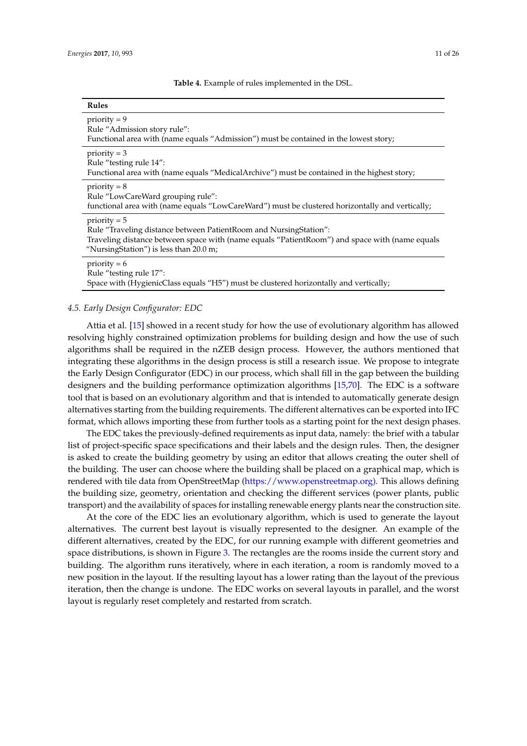**Table 4.** Example of rules implemented in the DSL.

<span id="page-10-0"></span>

| Rules                                                                                                                                                                                                                          |
|--------------------------------------------------------------------------------------------------------------------------------------------------------------------------------------------------------------------------------|
| $priority = 9$<br>Rule "Admission story rule":<br>Functional area with (name equals "Admission") must be contained in the lowest story;                                                                                        |
| $priority = 3$<br>Rule "testing rule 14":<br>Functional area with (name equals "MedicalArchive") must be contained in the highest story;                                                                                       |
| $priority = 8$<br>Rule "LowCareWard grouping rule":<br>functional area with (name equals "LowCareWard") must be clustered horizontally and vertically;                                                                         |
| $priority = 5$<br>Rule "Traveling distance between PatientRoom and NursingStation":<br>Traveling distance between space with (name equals "PatientRoom") and space with (name equals<br>"NursingStation") is less than 20.0 m; |
| $priority = 6$<br>Rule "testing rule 17":<br>Space with (HygienicClass equals "H5") must be clustered horizontally and vertically;                                                                                             |

# *4.5. Early Design Configurator: EDC*

Attia et al. [\[15\]](#page-22-11) showed in a recent study for how the use of evolutionary algorithm has allowed resolving highly constrained optimization problems for building design and how the use of such algorithms shall be required in the nZEB design process. However, the authors mentioned that integrating these algorithms in the design process is still a research issue. We propose to integrate the Early Design Configurator (EDC) in our process, which shall fill in the gap between the building designers and the building performance optimization algorithms [\[15](#page-22-11)[,70\]](#page-24-17). The EDC is a software tool that is based on an evolutionary algorithm and that is intended to automatically generate design alternatives starting from the building requirements. The different alternatives can be exported into IFC format, which allows importing these from further tools as a starting point for the next design phases.

The EDC takes the previously-defined requirements as input data, namely: the brief with a tabular list of project-specific space specifications and their labels and the design rules. Then, the designer is asked to create the building geometry by using an editor that allows creating the outer shell of the building. The user can choose where the building shall be placed on a graphical map, which is rendered with tile data from OpenStreetMap [\(https://www.openstreetmap.org\).](https://www.openstreetmap.org)) This allows defining the building size, geometry, orientation and checking the different services (power plants, public transport) and the availability of spaces for installing renewable energy plants near the construction site.

At the core of the EDC lies an evolutionary algorithm, which is used to generate the layout alternatives. The current best layout is visually represented to the designer. An example of the different alternatives, created by the EDC, for our running example with different geometries and space distributions, is shown in Figure [3.](#page-11-0) The rectangles are the rooms inside the current story and building. The algorithm runs iteratively, where in each iteration, a room is randomly moved to a new position in the layout. If the resulting layout has a lower rating than the layout of the previous iteration, then the change is undone. The EDC works on several layouts in parallel, and the worst layout is regularly reset completely and restarted from scratch.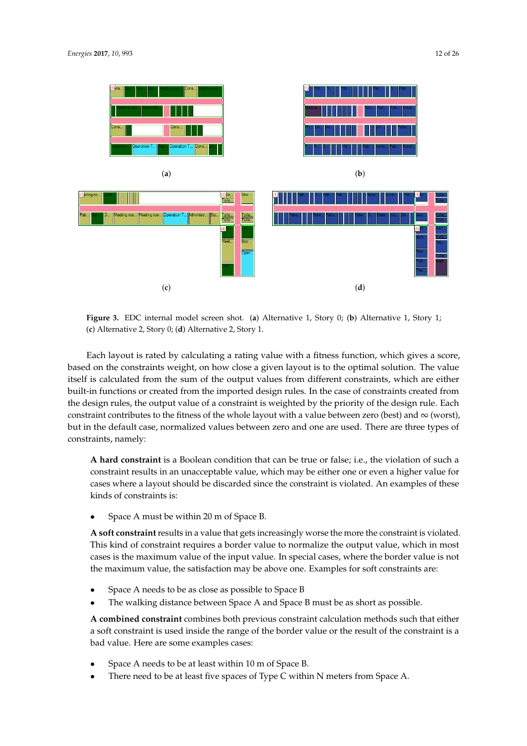<span id="page-11-0"></span>

**Figure 3.** EDC internal model screen shot. (**a**) Alternative 1, Story 0; (**b**) Alternative 1, Story 1; (**c**) Alternative 2, Story 0; (**d**) Alternative 2, Story 1.

Each layout is rated by calculating a rating value with a fitness function, which gives a score, based on the constraints weight, on how close a given layout is to the optimal solution. The value itself is calculated from the sum of the output values from different constraints, which are either built-in functions or created from the imported design rules. In the case of constraints created from the design rules, the output value of a constraint is weighted by the priority of the design rule. Each constraint contributes to the fitness of the whole layout with a value between zero (best) and  $\infty$  (worst), but in the default case, normalized values between zero and one are used. There are three types of constraints, namely:

**A hard constraint** is a Boolean condition that can be true or false; i.e., the violation of such a constraint results in an unacceptable value, which may be either one or even a higher value for cases where a layout should be discarded since the constraint is violated. An examples of these kinds of constraints is:

• Space A must be within 20 m of Space B.

**A soft constraint** results in a value that gets increasingly worse the more the constraint is violated. This kind of constraint requires a border value to normalize the output value, which in most cases is the maximum value of the input value. In special cases, where the border value is not the maximum value, the satisfaction may be above one. Examples for soft constraints are:

- Space A needs to be as close as possible to Space B
- The walking distance between Space A and Space B must be as short as possible.

**A combined constraint** combines both previous constraint calculation methods such that either a soft constraint is used inside the range of the border value or the result of the constraint is a bad value. Here are some examples cases:

- Space A needs to be at least within 10 m of Space B.
- There need to be at least five spaces of Type C within N meters from Space A.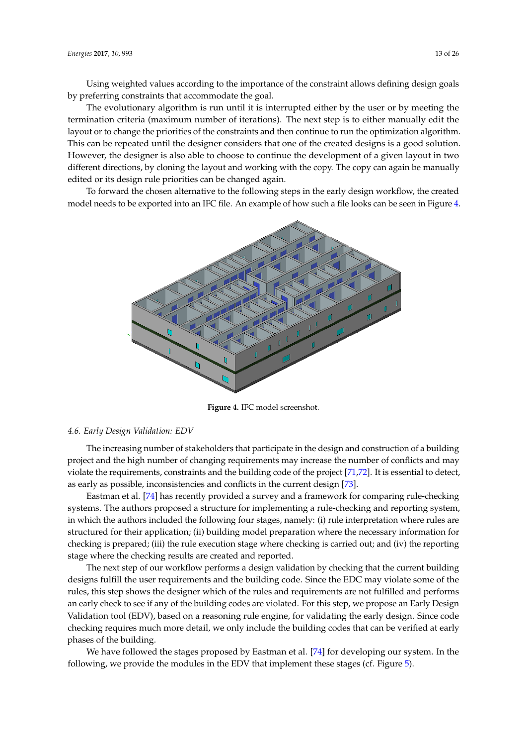Using weighted values according to the importance of the constraint allows defining design goals by preferring constraints that accommodate the goal.

The evolutionary algorithm is run until it is interrupted either by the user or by meeting the termination criteria (maximum number of iterations). The next step is to either manually edit the layout or to change the priorities of the constraints and then continue to run the optimization algorithm. This can be repeated until the designer considers that one of the created designs is a good solution. However, the designer is also able to choose to continue the development of a given layout in two different directions, by cloning the layout and working with the copy. The copy can again be manually edited or its design rule priorities can be changed again.

<span id="page-12-0"></span>To forward the chosen alternative to the following steps in the early design workflow, the created model needs to be exported into an IFC file. An example of how such a file looks can be seen in Figure [4.](#page-12-0)



**Figure 4.** IFC model screenshot.

## *4.6. Early Design Validation: EDV*

The increasing number of stakeholders that participate in the design and construction of a building project and the high number of changing requirements may increase the number of conflicts and may violate the requirements, constraints and the building code of the project [\[71](#page-24-18)[,72\]](#page-24-19). It is essential to detect, as early as possible, inconsistencies and conflicts in the current design [\[73\]](#page-24-20).

Eastman et al. [\[74\]](#page-24-21) has recently provided a survey and a framework for comparing rule-checking systems. The authors proposed a structure for implementing a rule-checking and reporting system, in which the authors included the following four stages, namely: (i) rule interpretation where rules are structured for their application; (ii) building model preparation where the necessary information for checking is prepared; (iii) the rule execution stage where checking is carried out; and (iv) the reporting stage where the checking results are created and reported.

The next step of our workflow performs a design validation by checking that the current building designs fulfill the user requirements and the building code. Since the EDC may violate some of the rules, this step shows the designer which of the rules and requirements are not fulfilled and performs an early check to see if any of the building codes are violated. For this step, we propose an Early Design Validation tool (EDV), based on a reasoning rule engine, for validating the early design. Since code checking requires much more detail, we only include the building codes that can be verified at early phases of the building.

We have followed the stages proposed by Eastman et al. [\[74\]](#page-24-21) for developing our system. In the following, we provide the modules in the EDV that implement these stages (cf. Figure [5\)](#page-13-0).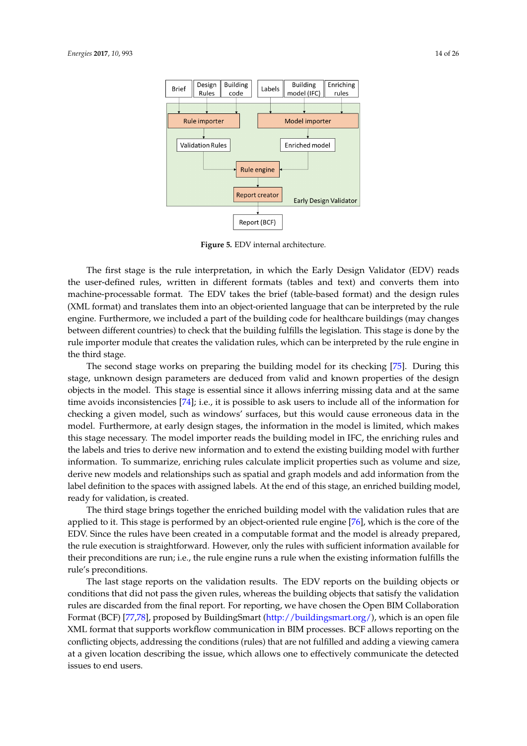<span id="page-13-0"></span>

**Figure 5.** EDV internal architecture.

The first stage is the rule interpretation, in which the Early Design Validator (EDV) reads the user-defined rules, written in different formats (tables and text) and converts them into machine-processable format. The EDV takes the brief (table-based format) and the design rules (XML format) and translates them into an object-oriented language that can be interpreted by the rule engine. Furthermore, we included a part of the building code for healthcare buildings (may changes between different countries) to check that the building fulfills the legislation. This stage is done by the rule importer module that creates the validation rules, which can be interpreted by the rule engine in the third stage.

The second stage works on preparing the building model for its checking [\[75\]](#page-24-22). During this stage, unknown design parameters are deduced from valid and known properties of the design objects in the model. This stage is essential since it allows inferring missing data and at the same time avoids inconsistencies [\[74\]](#page-24-21); i.e., it is possible to ask users to include all of the information for checking a given model, such as windows' surfaces, but this would cause erroneous data in the model. Furthermore, at early design stages, the information in the model is limited, which makes this stage necessary. The model importer reads the building model in IFC, the enriching rules and the labels and tries to derive new information and to extend the existing building model with further information. To summarize, enriching rules calculate implicit properties such as volume and size, derive new models and relationships such as spatial and graph models and add information from the label definition to the spaces with assigned labels. At the end of this stage, an enriched building model, ready for validation, is created.

The third stage brings together the enriched building model with the validation rules that are applied to it. This stage is performed by an object-oriented rule engine [\[76\]](#page-25-0), which is the core of the EDV. Since the rules have been created in a computable format and the model is already prepared, the rule execution is straightforward. However, only the rules with sufficient information available for their preconditions are run; i.e., the rule engine runs a rule when the existing information fulfills the rule's preconditions.

The last stage reports on the validation results. The EDV reports on the building objects or conditions that did not pass the given rules, whereas the building objects that satisfy the validation rules are discarded from the final report. For reporting, we have chosen the Open BIM Collaboration Format (BCF) [\[77,](#page-25-1)[78\]](#page-25-2), proposed by BuildingSmart [\(http://buildingsmart.org/\)](http://buildingsmart.org/), which is an open file XML format that supports workflow communication in BIM processes. BCF allows reporting on the conflicting objects, addressing the conditions (rules) that are not fulfilled and adding a viewing camera at a given location describing the issue, which allows one to effectively communicate the detected issues to end users.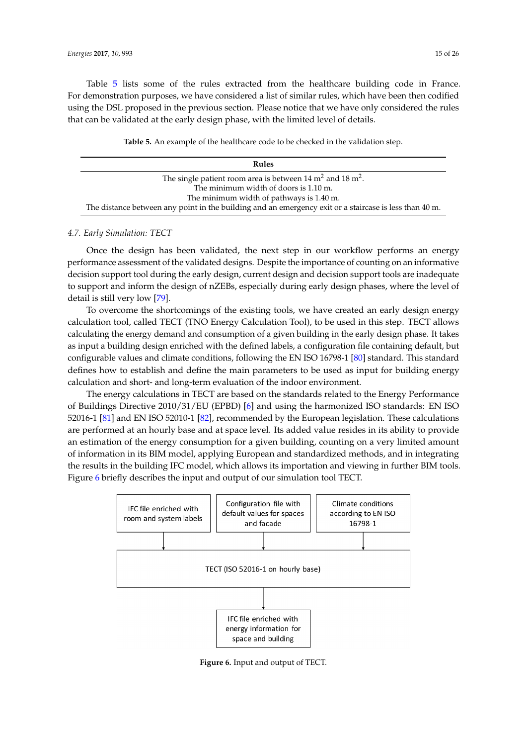Table [5](#page-14-0) lists some of the rules extracted from the healthcare building code in France. For demonstration purposes, we have considered a list of similar rules, which have been then codified using the DSL proposed in the previous section. Please notice that we have only considered the rules that can be validated at the early design phase, with the limited level of details.

**Table 5.** An example of the healthcare code to be checked in the validation step.

<span id="page-14-0"></span>

| Rules                                                                                                  |
|--------------------------------------------------------------------------------------------------------|
| The single patient room area is between 14 $m2$ and 18 $m2$ .                                          |
| The minimum width of doors is 1.10 m.                                                                  |
| The minimum width of pathways is 1.40 m.                                                               |
| The distance between any point in the building and an emergency exit or a staircase is less than 40 m. |

# *4.7. Early Simulation: TECT*

Once the design has been validated, the next step in our workflow performs an energy performance assessment of the validated designs. Despite the importance of counting on an informative decision support tool during the early design, current design and decision support tools are inadequate to support and inform the design of nZEBs, especially during early design phases, where the level of detail is still very low [\[79\]](#page-25-3).

To overcome the shortcomings of the existing tools, we have created an early design energy calculation tool, called TECT (TNO Energy Calculation Tool), to be used in this step. TECT allows calculating the energy demand and consumption of a given building in the early design phase. It takes as input a building design enriched with the defined labels, a configuration file containing default, but configurable values and climate conditions, following the EN ISO 16798-1 [\[80\]](#page-25-4) standard. This standard defines how to establish and define the main parameters to be used as input for building energy calculation and short- and long-term evaluation of the indoor environment.

The energy calculations in TECT are based on the standards related to the Energy Performance of Buildings Directive 2010/31/EU (EPBD) [\[6\]](#page-22-3) and using the harmonized ISO standards: EN ISO 52016-1 [\[81\]](#page-25-5) and EN ISO 52010-1 [\[82\]](#page-25-6), recommended by the European legislation. These calculations are performed at an hourly base and at space level. Its added value resides in its ability to provide an estimation of the energy consumption for a given building, counting on a very limited amount of information in its BIM model, applying European and standardized methods, and in integrating the results in the building IFC model, which allows its importation and viewing in further BIM tools. Figure [6](#page-14-1) briefly describes the input and output of our simulation tool TECT.

<span id="page-14-1"></span>

**Figure 6.** Input and output of TECT.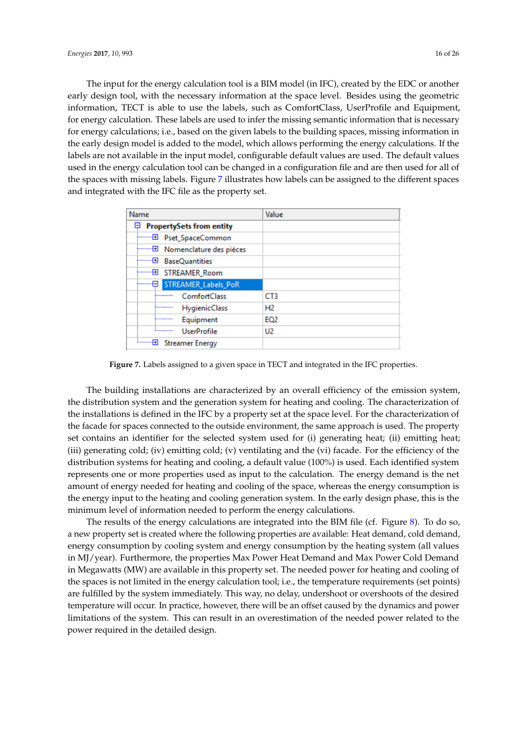The input for the energy calculation tool is a BIM model (in IFC), created by the EDC or another early design tool, with the necessary information at the space level. Besides using the geometric information, TECT is able to use the labels, such as ComfortClass, UserProfile and Equipment, for energy calculation. These labels are used to infer the missing semantic information that is necessary for energy calculations; i.e., based on the given labels to the building spaces, missing information in the early design model is added to the model, which allows performing the energy calculations. If the labels are not available in the input model, configurable default values are used. The default values used in the energy calculation tool can be changed in a configuration file and are then used for all of the spaces with missing labels. Figure [7](#page-15-0) illustrates how labels can be assigned to the different spaces and integrated with the IFC file as the property set.

<span id="page-15-0"></span>

| Name                                         | Value           |
|----------------------------------------------|-----------------|
| <b>PropertySets from entity</b><br>Đ         |                 |
| <b>E</b> Pset_SpaceCommon                    |                 |
| Nomenclature des pièces                      |                 |
| <b>BaseQuantities</b>                        |                 |
| i……… <del>⊡</del><br>STREAMER_Room           |                 |
| STREAMER_Labels_PoR<br>i------- <del>E</del> |                 |
| <b>ComfortClass</b><br>                      | CT3             |
| HygienicClass<br>                            | H <sub>2</sub>  |
| Equipment<br>                                | EQ <sub>2</sub> |
| <b>UserProfile</b><br><b>Bestehnungen</b>    | U <sub>2</sub>  |
| <b>Streamer Energy</b>                       |                 |

**Figure 7.** Labels assigned to a given space in TECT and integrated in the IFC properties.

The building installations are characterized by an overall efficiency of the emission system, the distribution system and the generation system for heating and cooling. The characterization of the installations is defined in the IFC by a property set at the space level. For the characterization of the facade for spaces connected to the outside environment, the same approach is used. The property set contains an identifier for the selected system used for (i) generating heat; (ii) emitting heat; (iii) generating cold; (iv) emitting cold; (v) ventilating and the (vi) facade. For the efficiency of the distribution systems for heating and cooling, a default value (100%) is used. Each identified system represents one or more properties used as input to the calculation. The energy demand is the net amount of energy needed for heating and cooling of the space, whereas the energy consumption is the energy input to the heating and cooling generation system. In the early design phase, this is the minimum level of information needed to perform the energy calculations.

The results of the energy calculations are integrated into the BIM file (cf. Figure [8\)](#page-16-0). To do so, a new property set is created where the following properties are available: Heat demand, cold demand, energy consumption by cooling system and energy consumption by the heating system (all values in MJ/year). Furthermore, the properties Max Power Heat Demand and Max Power Cold Demand in Megawatts (MW) are available in this property set. The needed power for heating and cooling of the spaces is not limited in the energy calculation tool; i.e., the temperature requirements (set points) are fulfilled by the system immediately. This way, no delay, undershoot or overshoots of the desired temperature will occur. In practice, however, there will be an offset caused by the dynamics and power limitations of the system. This can result in an overestimation of the needed power related to the power required in the detailed design.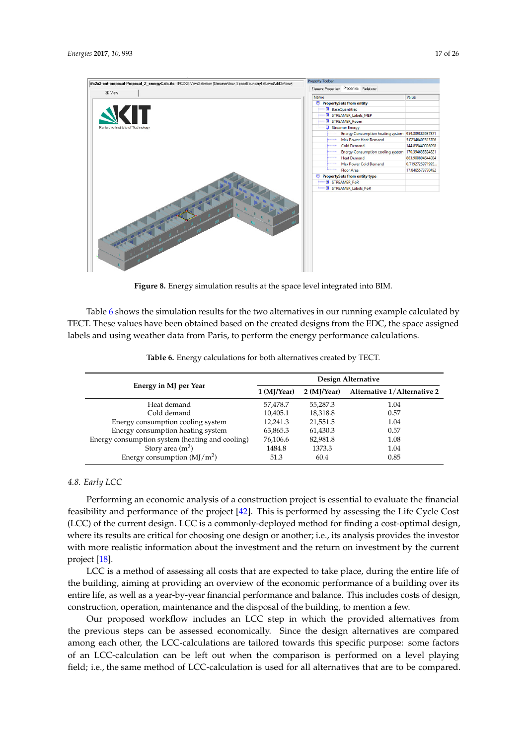<span id="page-16-0"></span>

**Figure 8.** Energy simulation results at the space level integrated into BIM.

Table [6](#page-16-1) shows the simulation results for the two alternatives in our running example calculated by TECT. These values have been obtained based on the created designs from the EDC, the space assigned labels and using weather data from Paris, to perform the energy performance calculations.

<span id="page-16-1"></span>

|                                                 | Design Alternative |             |                             |  |  |  |
|-------------------------------------------------|--------------------|-------------|-----------------------------|--|--|--|
| Energy in MJ per Year                           | 1 (MJ/Year)        | 2 (MI/Year) | Alternative 1/Alternative 2 |  |  |  |
| Heat demand                                     | 57,478.7           | 55.287.3    | 1.04                        |  |  |  |
| Cold demand                                     | 10,405.1           | 18,318.8    | 0.57                        |  |  |  |
| Energy consumption cooling system               | 12,241.3           | 21,551.5    | 1.04                        |  |  |  |
| Energy consumption heating system               | 63,865.3           | 61,430.3    | 0.57                        |  |  |  |
| Energy consumption system (heating and cooling) | 76,106.6           | 82,981.8    | 1.08                        |  |  |  |
| Story area $(m2)$                               | 1484.8             | 1373.3      | 1.04                        |  |  |  |
| Energy consumption $(MJ/m2)$                    | 51.3               | 60.4        | 0.85                        |  |  |  |

**Table 6.** Energy calculations for both alternatives created by TECT.

# *4.8. Early LCC*

Performing an economic analysis of a construction project is essential to evaluate the financial feasibility and performance of the project [\[42\]](#page-23-11). This is performed by assessing the Life Cycle Cost (LCC) of the current design. LCC is a commonly-deployed method for finding a cost-optimal design, where its results are critical for choosing one design or another; i.e., its analysis provides the investor with more realistic information about the investment and the return on investment by the current project [\[18\]](#page-22-14).

LCC is a method of assessing all costs that are expected to take place, during the entire life of the building, aiming at providing an overview of the economic performance of a building over its entire life, as well as a year-by-year financial performance and balance. This includes costs of design, construction, operation, maintenance and the disposal of the building, to mention a few.

Our proposed workflow includes an LCC step in which the provided alternatives from the previous steps can be assessed economically. Since the design alternatives are compared among each other, the LCC-calculations are tailored towards this specific purpose: some factors of an LCC-calculation can be left out when the comparison is performed on a level playing field; i.e., the same method of LCC-calculation is used for all alternatives that are to be compared.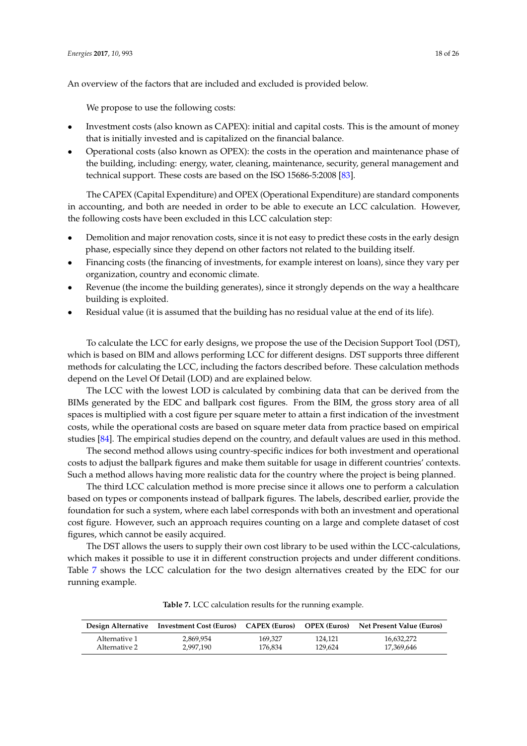An overview of the factors that are included and excluded is provided below.

We propose to use the following costs:

- Investment costs (also known as CAPEX): initial and capital costs. This is the amount of money that is initially invested and is capitalized on the financial balance.
- Operational costs (also known as OPEX): the costs in the operation and maintenance phase of the building, including: energy, water, cleaning, maintenance, security, general management and technical support. These costs are based on the ISO 15686-5:2008 [\[83\]](#page-25-7).

The CAPEX (Capital Expenditure) and OPEX (Operational Expenditure) are standard components in accounting, and both are needed in order to be able to execute an LCC calculation. However, the following costs have been excluded in this LCC calculation step:

- Demolition and major renovation costs, since it is not easy to predict these costs in the early design phase, especially since they depend on other factors not related to the building itself.
- Financing costs (the financing of investments, for example interest on loans), since they vary per organization, country and economic climate.
- Revenue (the income the building generates), since it strongly depends on the way a healthcare building is exploited.
- Residual value (it is assumed that the building has no residual value at the end of its life).

To calculate the LCC for early designs, we propose the use of the Decision Support Tool (DST), which is based on BIM and allows performing LCC for different designs. DST supports three different methods for calculating the LCC, including the factors described before. These calculation methods depend on the Level Of Detail (LOD) and are explained below.

The LCC with the lowest LOD is calculated by combining data that can be derived from the BIMs generated by the EDC and ballpark cost figures. From the BIM, the gross story area of all spaces is multiplied with a cost figure per square meter to attain a first indication of the investment costs, while the operational costs are based on square meter data from practice based on empirical studies [\[84\]](#page-25-8). The empirical studies depend on the country, and default values are used in this method.

The second method allows using country-specific indices for both investment and operational costs to adjust the ballpark figures and make them suitable for usage in different countries' contexts. Such a method allows having more realistic data for the country where the project is being planned.

The third LCC calculation method is more precise since it allows one to perform a calculation based on types or components instead of ballpark figures. The labels, described earlier, provide the foundation for such a system, where each label corresponds with both an investment and operational cost figure. However, such an approach requires counting on a large and complete dataset of cost figures, which cannot be easily acquired.

The DST allows the users to supply their own cost library to be used within the LCC-calculations, which makes it possible to use it in different construction projects and under different conditions. Table [7](#page-17-0) shows the LCC calculation for the two design alternatives created by the EDC for our running example.

<span id="page-17-0"></span>

|               | Design Alternative Investment Cost (Euros) CAPEX (Euros) |         | <b>OPEX (Euros)</b> | Net Present Value (Euros) |
|---------------|----------------------------------------------------------|---------|---------------------|---------------------------|
| Alternative 1 | 2,869,954                                                | 169.327 | 124.121             | 16,632,272                |
| Alternative 2 | 2.997.190                                                | 176.834 | 129.624             | 17,369,646                |

**Table 7.** LCC calculation results for the running example.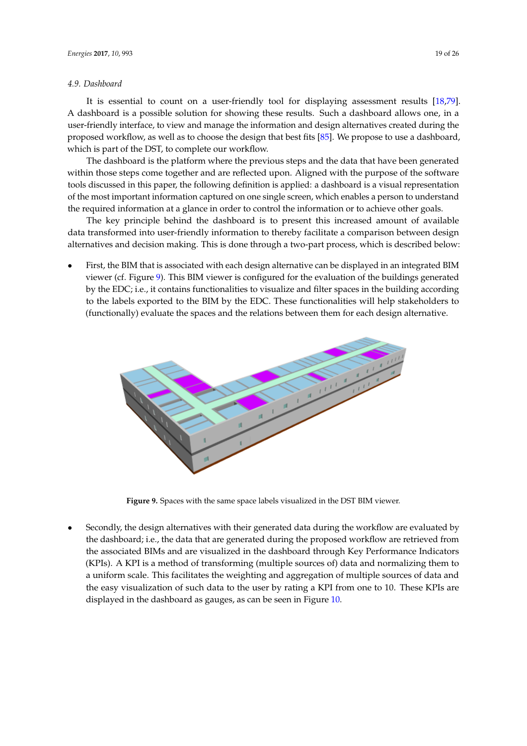# *4.9. Dashboard*

It is essential to count on a user-friendly tool for displaying assessment results [\[18,](#page-22-14)[79\]](#page-25-3). A dashboard is a possible solution for showing these results. Such a dashboard allows one, in a user-friendly interface, to view and manage the information and design alternatives created during the proposed workflow, as well as to choose the design that best fits [\[85\]](#page-25-9). We propose to use a dashboard, which is part of the DST, to complete our workflow.

The dashboard is the platform where the previous steps and the data that have been generated within those steps come together and are reflected upon. Aligned with the purpose of the software tools discussed in this paper, the following definition is applied: a dashboard is a visual representation of the most important information captured on one single screen, which enables a person to understand the required information at a glance in order to control the information or to achieve other goals.

The key principle behind the dashboard is to present this increased amount of available data transformed into user-friendly information to thereby facilitate a comparison between design alternatives and decision making. This is done through a two-part process, which is described below:

• First, the BIM that is associated with each design alternative can be displayed in an integrated BIM viewer (cf. Figure [9\)](#page-18-0). This BIM viewer is configured for the evaluation of the buildings generated by the EDC; i.e., it contains functionalities to visualize and filter spaces in the building according to the labels exported to the BIM by the EDC. These functionalities will help stakeholders to (functionally) evaluate the spaces and the relations between them for each design alternative.

<span id="page-18-0"></span>

**Figure 9.** Spaces with the same space labels visualized in the DST BIM viewer.

• Secondly, the design alternatives with their generated data during the workflow are evaluated by the dashboard; i.e., the data that are generated during the proposed workflow are retrieved from the associated BIMs and are visualized in the dashboard through Key Performance Indicators (KPIs). A KPI is a method of transforming (multiple sources of) data and normalizing them to a uniform scale. This facilitates the weighting and aggregation of multiple sources of data and the easy visualization of such data to the user by rating a KPI from one to 10. These KPIs are displayed in the dashboard as gauges, as can be seen in Figure [10.](#page-19-1)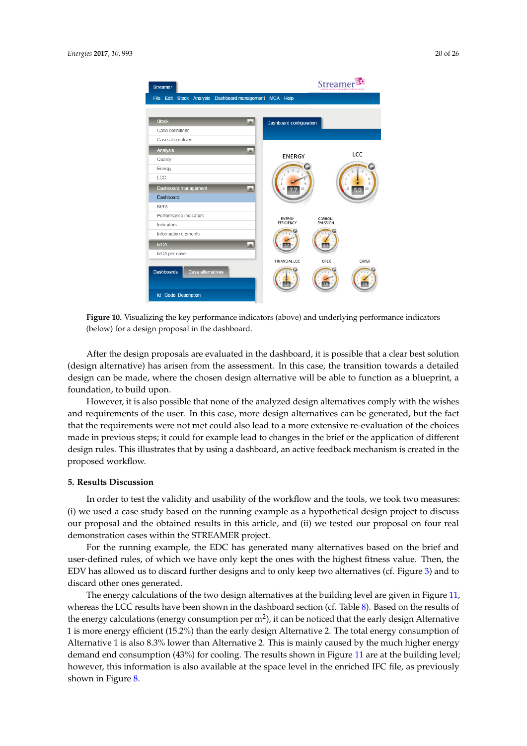<span id="page-19-1"></span>

**Figure 10.** Visualizing the key performance indicators (above) and underlying performance indicators (below) for a design proposal in the dashboard.

After the design proposals are evaluated in the dashboard, it is possible that a clear best solution (design alternative) has arisen from the assessment. In this case, the transition towards a detailed design can be made, where the chosen design alternative will be able to function as a blueprint, a foundation, to build upon.

However, it is also possible that none of the analyzed design alternatives comply with the wishes and requirements of the user. In this case, more design alternatives can be generated, but the fact that the requirements were not met could also lead to a more extensive re-evaluation of the choices made in previous steps; it could for example lead to changes in the brief or the application of different design rules. This illustrates that by using a dashboard, an active feedback mechanism is created in the proposed workflow.

#### <span id="page-19-0"></span>**5. Results Discussion**

In order to test the validity and usability of the workflow and the tools, we took two measures: (i) we used a case study based on the running example as a hypothetical design project to discuss our proposal and the obtained results in this article, and (ii) we tested our proposal on four real demonstration cases within the STREAMER project.

For the running example, the EDC has generated many alternatives based on the brief and user-defined rules, of which we have only kept the ones with the highest fitness value. Then, the EDV has allowed us to discard further designs and to only keep two alternatives (cf. Figure [3\)](#page-11-0) and to discard other ones generated.

The energy calculations of the two design alternatives at the building level are given in Figure [11,](#page-20-1) whereas the LCC results have been shown in the dashboard section (cf. Table [8\)](#page-20-2). Based on the results of the energy calculations (energy consumption per m<sup>2</sup>), it can be noticed that the early design Alternative 1 is more energy efficient (15.2%) than the early design Alternative 2. The total energy consumption of Alternative 1 is also 8.3% lower than Alternative 2. This is mainly caused by the much higher energy demand end consumption (43%) for cooling. The results shown in Figure [11](#page-20-1) are at the building level; however, this information is also available at the space level in the enriched IFC file, as previously shown in Figure [8.](#page-16-0)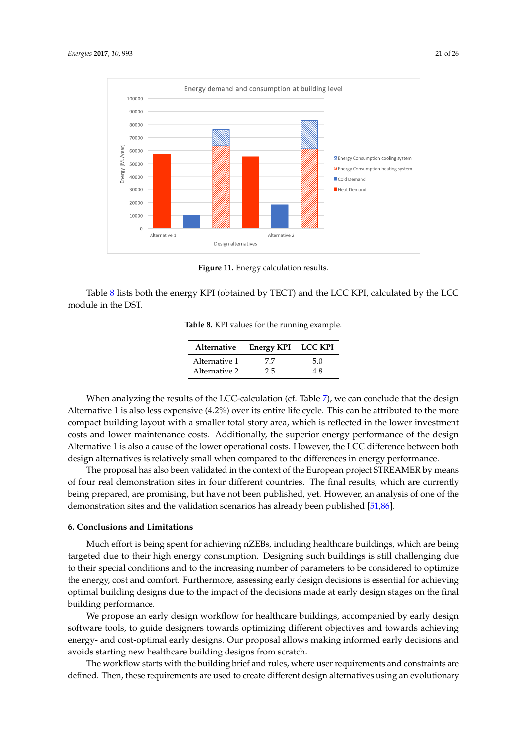<span id="page-20-1"></span>

**Figure 11.** Energy calculation results.

<span id="page-20-2"></span>Table [8](#page-20-2) lists both the energy KPI (obtained by TECT) and the LCC KPI, calculated by the LCC module in the DST.

**Table 8.** KPI values for the running example.

| Alternative   | Energy KPI LCC KPI |     |
|---------------|--------------------|-----|
| Alternative 1 | 77                 | 5.0 |
| Alternative 2 | 2.5                | 48  |

When analyzing the results of the LCC-calculation (cf. Table [7\)](#page-17-0), we can conclude that the design Alternative 1 is also less expensive (4.2%) over its entire life cycle. This can be attributed to the more compact building layout with a smaller total story area, which is reflected in the lower investment costs and lower maintenance costs. Additionally, the superior energy performance of the design Alternative 1 is also a cause of the lower operational costs. However, the LCC difference between both design alternatives is relatively small when compared to the differences in energy performance.

The proposal has also been validated in the context of the European project STREAMER by means of four real demonstration sites in four different countries. The final results, which are currently being prepared, are promising, but have not been published, yet. However, an analysis of one of the demonstration sites and the validation scenarios has already been published [\[51,](#page-24-0)[86\]](#page-25-10).

## <span id="page-20-0"></span>**6. Conclusions and Limitations**

Much effort is being spent for achieving nZEBs, including healthcare buildings, which are being targeted due to their high energy consumption. Designing such buildings is still challenging due to their special conditions and to the increasing number of parameters to be considered to optimize the energy, cost and comfort. Furthermore, assessing early design decisions is essential for achieving optimal building designs due to the impact of the decisions made at early design stages on the final building performance.

We propose an early design workflow for healthcare buildings, accompanied by early design software tools, to guide designers towards optimizing different objectives and towards achieving energy- and cost-optimal early designs. Our proposal allows making informed early decisions and avoids starting new healthcare building designs from scratch.

The workflow starts with the building brief and rules, where user requirements and constraints are defined. Then, these requirements are used to create different design alternatives using an evolutionary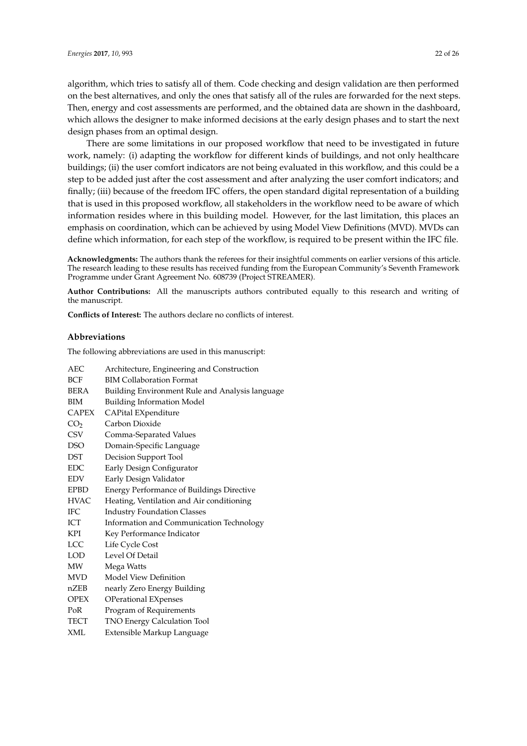algorithm, which tries to satisfy all of them. Code checking and design validation are then performed on the best alternatives, and only the ones that satisfy all of the rules are forwarded for the next steps. Then, energy and cost assessments are performed, and the obtained data are shown in the dashboard, which allows the designer to make informed decisions at the early design phases and to start the next design phases from an optimal design.

There are some limitations in our proposed workflow that need to be investigated in future work, namely: (i) adapting the workflow for different kinds of buildings, and not only healthcare buildings; (ii) the user comfort indicators are not being evaluated in this workflow, and this could be a step to be added just after the cost assessment and after analyzing the user comfort indicators; and finally; (iii) because of the freedom IFC offers, the open standard digital representation of a building that is used in this proposed workflow, all stakeholders in the workflow need to be aware of which information resides where in this building model. However, for the last limitation, this places an emphasis on coordination, which can be achieved by using Model View Definitions (MVD). MVDs can define which information, for each step of the workflow, is required to be present within the IFC file.

**Acknowledgments:** The authors thank the referees for their insightful comments on earlier versions of this article. The research leading to these results has received funding from the European Community's Seventh Framework Programme under Grant Agreement No. 608739 (Project STREAMER).

**Author Contributions:** All the manuscripts authors contributed equally to this research and writing of the manuscript.

**Conflicts of Interest:** The authors declare no conflicts of interest.

#### **Abbreviations**

The following abbreviations are used in this manuscript:

| Architecture, Engineering and Construction       |
|--------------------------------------------------|
| <b>BIM Collaboration Format</b>                  |
| Building Environment Rule and Analysis language  |
| <b>Building Information Model</b>                |
| CAPital EXpenditure                              |
| Carbon Dioxide                                   |
| Comma-Separated Values                           |
| Domain-Specific Language                         |
| Decision Support Tool                            |
| Early Design Configurator                        |
| Early Design Validator                           |
| <b>Energy Performance of Buildings Directive</b> |
| Heating, Ventilation and Air conditioning        |
| <b>Industry Foundation Classes</b>               |
| Information and Communication Technology         |
| Key Performance Indicator                        |
| Life Cycle Cost                                  |
| Level Of Detail                                  |
| Mega Watts                                       |
| Model View Definition                            |
| nearly Zero Energy Building                      |
| <b>OPerational EXpenses</b>                      |
| Program of Requirements                          |
| TNO Energy Calculation Tool                      |
| Extensible Markup Language                       |
|                                                  |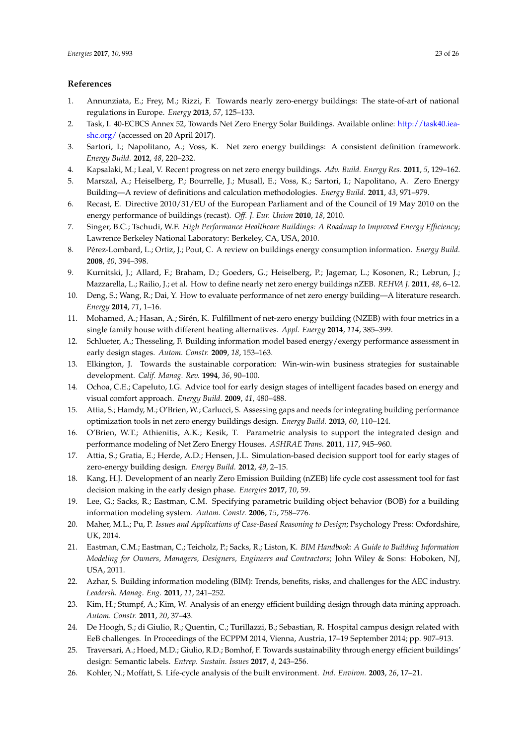# **References**

- <span id="page-22-0"></span>1. Annunziata, E.; Frey, M.; Rizzi, F. Towards nearly zero-energy buildings: The state-of-art of national regulations in Europe. *Energy* **2013**, *57*, 125–133.
- <span id="page-22-1"></span>2. Task, I. 40-ECBCS Annex 52, Towards Net Zero Energy Solar Buildings. Available online: [http://task40.iea](http://task40.iea-shc.org/)[shc.org/](http://task40.iea-shc.org/) (accessed on 20 April 2017).
- <span id="page-22-2"></span>3. Sartori, I.; Napolitano, A.; Voss, K. Net zero energy buildings: A consistent definition framework. *Energy Build.* **2012**, *48*, 220–232.
- 4. Kapsalaki, M.; Leal, V. Recent progress on net zero energy buildings. *Adv. Build. Energy Res.* **2011**, *5*, 129–162.
- <span id="page-22-6"></span>5. Marszal, A.; Heiselberg, P.; Bourrelle, J.; Musall, E.; Voss, K.; Sartori, I.; Napolitano, A. Zero Energy Building—A review of definitions and calculation methodologies. *Energy Build.* **2011**, *43*, 971–979.
- <span id="page-22-3"></span>6. Recast, E. Directive 2010/31/EU of the European Parliament and of the Council of 19 May 2010 on the energy performance of buildings (recast). *Off. J. Eur. Union* **2010**, *18*, 2010.
- <span id="page-22-4"></span>7. Singer, B.C.; Tschudi, W.F. *High Performance Healthcare Buildings: A Roadmap to Improved Energy Efficiency*; Lawrence Berkeley National Laboratory: Berkeley, CA, USA, 2010.
- <span id="page-22-5"></span>8. Pérez-Lombard, L.; Ortiz, J.; Pout, C. A review on buildings energy consumption information. *Energy Build.* **2008**, *40*, 394–398.
- <span id="page-22-7"></span>9. Kurnitski, J.; Allard, F.; Braham, D.; Goeders, G.; Heiselberg, P.; Jagemar, L.; Kosonen, R.; Lebrun, J.; Mazzarella, L.; Railio, J.; et al. How to define nearly net zero energy buildings nZEB. *REHVA J.* **2011**, *48*, 6–12.
- 10. Deng, S.; Wang, R.; Dai, Y. How to evaluate performance of net zero energy building—A literature research. *Energy* **2014**, *71*, 1–16.
- <span id="page-22-8"></span>11. Mohamed, A.; Hasan, A.; Sirén, K. Fulfillment of net-zero energy building (NZEB) with four metrics in a single family house with different heating alternatives. *Appl. Energy* **2014**, *114*, 385–399.
- <span id="page-22-9"></span>12. Schlueter, A.; Thesseling, F. Building information model based energy/exergy performance assessment in early design stages. *Autom. Constr.* **2009**, *18*, 153–163.
- 13. Elkington, J. Towards the sustainable corporation: Win-win-win business strategies for sustainable development. *Calif. Manag. Rev.* **1994**, *36*, 90–100.
- <span id="page-22-10"></span>14. Ochoa, C.E.; Capeluto, I.G. Advice tool for early design stages of intelligent facades based on energy and visual comfort approach. *Energy Build.* **2009**, *41*, 480–488.
- <span id="page-22-11"></span>15. Attia, S.; Hamdy, M.; O'Brien, W.; Carlucci, S. Assessing gaps and needs for integrating building performance optimization tools in net zero energy buildings design. *Energy Build.* **2013**, *60*, 110–124.
- <span id="page-22-12"></span>16. O'Brien, W.T.; Athienitis, A.K.; Kesik, T. Parametric analysis to support the integrated design and performance modeling of Net Zero Energy Houses. *ASHRAE Trans.* **2011**, *117*, 945–960.
- <span id="page-22-13"></span>17. Attia, S.; Gratia, E.; Herde, A.D.; Hensen, J.L. Simulation-based decision support tool for early stages of zero-energy building design. *Energy Build.* **2012**, *49*, 2–15.
- <span id="page-22-14"></span>18. Kang, H.J. Development of an nearly Zero Emission Building (nZEB) life cycle cost assessment tool for fast decision making in the early design phase. *Energies* **2017**, *10*, 59.
- <span id="page-22-15"></span>19. Lee, G.; Sacks, R.; Eastman, C.M. Specifying parametric building object behavior (BOB) for a building information modeling system. *Autom. Constr.* **2006**, *15*, 758–776.
- <span id="page-22-16"></span>20. Maher, M.L.; Pu, P. *Issues and Applications of Case-Based Reasoning to Design*; Psychology Press: Oxfordshire, UK, 2014.
- <span id="page-22-17"></span>21. Eastman, C.M.; Eastman, C.; Teicholz, P.; Sacks, R.; Liston, K. *BIM Handbook: A Guide to Building Information Modeling for Owners, Managers, Designers, Engineers and Contractors*; John Wiley & Sons: Hoboken, NJ, USA, 2011.
- <span id="page-22-18"></span>22. Azhar, S. Building information modeling (BIM): Trends, benefits, risks, and challenges for the AEC industry. *Leadersh. Manag. Eng.* **2011**, *11*, 241–252.
- <span id="page-22-19"></span>23. Kim, H.; Stumpf, A.; Kim, W. Analysis of an energy efficient building design through data mining approach. *Autom. Constr.* **2011**, *20*, 37–43.
- <span id="page-22-20"></span>24. De Hoogh, S.; di Giulio, R.; Quentin, C.; Turillazzi, B.; Sebastian, R. Hospital campus design related with EeB challenges. In Proceedings of the ECPPM 2014, Vienna, Austria, 17–19 September 2014; pp. 907–913.
- <span id="page-22-21"></span>25. Traversari, A.; Hoed, M.D.; Giulio, R.D.; Bomhof, F. Towards sustainability through energy efficient buildings' design: Semantic labels. *Entrep. Sustain. Issues* **2017**, *4*, 243–256.
- <span id="page-22-22"></span>26. Kohler, N.; Moffatt, S. Life-cycle analysis of the built environment. *Ind. Environ.* **2003**, *26*, 17–21.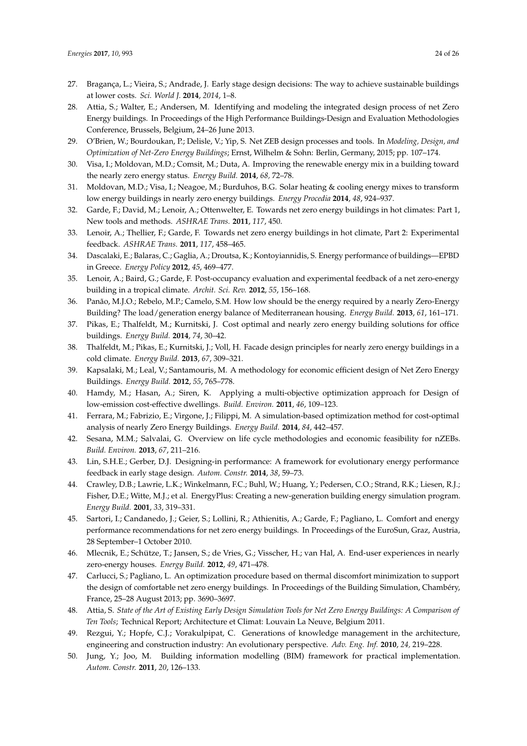- <span id="page-23-0"></span>27. Bragança, L.; Vieira, S.; Andrade, J. Early stage design decisions: The way to achieve sustainable buildings at lower costs. *Sci. World J.* **2014**, *2014*, 1–8.
- <span id="page-23-1"></span>28. Attia, S.; Walter, E.; Andersen, M. Identifying and modeling the integrated design process of net Zero Energy buildings. In Proceedings of the High Performance Buildings-Design and Evaluation Methodologies Conference, Brussels, Belgium, 24–26 June 2013.
- <span id="page-23-2"></span>29. O'Brien, W.; Bourdoukan, P.; Delisle, V.; Yip, S. Net ZEB design processes and tools. In *Modeling, Design, and Optimization of Net-Zero Energy Buildings*; Ernst, Wilhelm & Sohn: Berlin, Germany, 2015; pp. 107–174.
- <span id="page-23-3"></span>30. Visa, I.; Moldovan, M.D.; Comsit, M.; Duta, A. Improving the renewable energy mix in a building toward the nearly zero energy status. *Energy Build.* **2014**, *68,* 72–78.
- <span id="page-23-4"></span>31. Moldovan, M.D.; Visa, I.; Neagoe, M.; Burduhos, B.G. Solar heating & cooling energy mixes to transform low energy buildings in nearly zero energy buildings. *Energy Procedia* **2014**, *48*, 924–937.
- <span id="page-23-5"></span>32. Garde, F.; David, M.; Lenoir, A.; Ottenwelter, E. Towards net zero energy buildings in hot climates: Part 1, New tools and methods. *ASHRAE Trans.* **2011**, *117*, 450.
- 33. Lenoir, A.; Thellier, F.; Garde, F. Towards net zero energy buildings in hot climate, Part 2: Experimental feedback. *ASHRAE Trans.* **2011**, *117*, 458–465.
- 34. Dascalaki, E.; Balaras, C.; Gaglia, A.; Droutsa, K.; Kontoyiannidis, S. Energy performance of buildings—EPBD in Greece. *Energy Policy* **2012**, *45*, 469–477.
- 35. Lenoir, A.; Baird, G.; Garde, F. Post-occupancy evaluation and experimental feedback of a net zero-energy building in a tropical climate. *Archit. Sci. Rev.* **2012**, *55*, 156–168.
- 36. Panão, M.J.O.; Rebelo, M.P.; Camelo, S.M. How low should be the energy required by a nearly Zero-Energy Building? The load/generation energy balance of Mediterranean housing. *Energy Build.* **2013**, *61*, 161–171.
- <span id="page-23-7"></span>37. Pikas, E.; Thalfeldt, M.; Kurnitski, J. Cost optimal and nearly zero energy building solutions for office buildings. *Energy Build.* **2014**, *74*, 30–42.
- <span id="page-23-6"></span>38. Thalfeldt, M.; Pikas, E.; Kurnitski, J.; Voll, H. Facade design principles for nearly zero energy buildings in a cold climate. *Energy Build.* **2013**, *67*, 309–321.
- <span id="page-23-8"></span>39. Kapsalaki, M.; Leal, V.; Santamouris, M. A methodology for economic efficient design of Net Zero Energy Buildings. *Energy Build.* **2012**, *55*, 765–778.
- <span id="page-23-10"></span>40. Hamdy, M.; Hasan, A.; Siren, K. Applying a multi-objective optimization approach for Design of low-emission cost-effective dwellings. *Build. Environ.* **2011**, *46*, 109–123.
- <span id="page-23-9"></span>41. Ferrara, M.; Fabrizio, E.; Virgone, J.; Filippi, M. A simulation-based optimization method for cost-optimal analysis of nearly Zero Energy Buildings. *Energy Build.* **2014**, *84*, 442–457.
- <span id="page-23-11"></span>42. Sesana, M.M.; Salvalai, G. Overview on life cycle methodologies and economic feasibility for nZEBs. *Build. Environ.* **2013**, *67*, 211–216.
- <span id="page-23-12"></span>43. Lin, S.H.E.; Gerber, D.J. Designing-in performance: A framework for evolutionary energy performance feedback in early stage design. *Autom. Constr.* **2014**, *38*, 59–73.
- <span id="page-23-13"></span>44. Crawley, D.B.; Lawrie, L.K.; Winkelmann, F.C.; Buhl, W.; Huang, Y.; Pedersen, C.O.; Strand, R.K.; Liesen, R.J.; Fisher, D.E.; Witte, M.J.; et al. EnergyPlus: Creating a new-generation building energy simulation program. *Energy Build.* **2001**, *33*, 319–331.
- <span id="page-23-14"></span>45. Sartori, I.; Candanedo, J.; Geier, S.; Lollini, R.; Athienitis, A.; Garde, F.; Pagliano, L. Comfort and energy performance recommendations for net zero energy buildings. In Proceedings of the EuroSun, Graz, Austria, 28 September–1 October 2010.
- <span id="page-23-16"></span>46. Mlecnik, E.; Schütze, T.; Jansen, S.; de Vries, G.; Visscher, H.; van Hal, A. End-user experiences in nearly zero-energy houses. *Energy Build.* **2012**, *49*, 471–478.
- <span id="page-23-15"></span>47. Carlucci, S.; Pagliano, L. An optimization procedure based on thermal discomfort minimization to support the design of comfortable net zero energy buildings. In Proceedings of the Building Simulation, Chambéry, France, 25–28 August 2013; pp. 3690–3697.
- <span id="page-23-17"></span>48. Attia, S. *State of the Art of Existing Early Design Simulation Tools for Net Zero Energy Buildings: A Comparison of Ten Tools*; Technical Report; Architecture et Climat: Louvain La Neuve, Belgium 2011.
- <span id="page-23-18"></span>49. Rezgui, Y.; Hopfe, C.J.; Vorakulpipat, C. Generations of knowledge management in the architecture, engineering and construction industry: An evolutionary perspective. *Adv. Eng. Inf.* **2010**, *24,* 219–228.
- <span id="page-23-19"></span>50. Jung, Y.; Joo, M. Building information modelling (BIM) framework for practical implementation. *Autom. Constr.* **2011**, *20*, 126–133.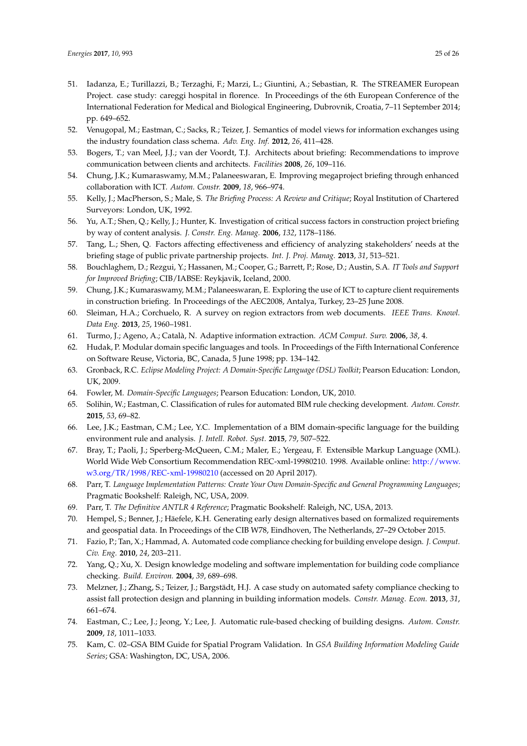- <span id="page-24-0"></span>51. Iadanza, E.; Turillazzi, B.; Terzaghi, F.; Marzi, L.; Giuntini, A.; Sebastian, R. The STREAMER European Project. case study: careggi hospital in florence. In Proceedings of the 6th European Conference of the International Federation for Medical and Biological Engineering, Dubrovnik, Croatia, 7–11 September 2014; pp. 649–652.
- <span id="page-24-1"></span>52. Venugopal, M.; Eastman, C.; Sacks, R.; Teizer, J. Semantics of model views for information exchanges using the industry foundation class schema. *Adv. Eng. Inf.* **2012**, *26*, 411–428.
- <span id="page-24-2"></span>53. Bogers, T.; van Meel, J.J.; van der Voordt, T.J. Architects about briefing: Recommendations to improve communication between clients and architects. *Facilities* **2008**, *26*, 109–116.
- <span id="page-24-4"></span>54. Chung, J.K.; Kumaraswamy, M.M.; Palaneeswaran, E. Improving megaproject briefing through enhanced collaboration with ICT. *Autom. Constr.* **2009**, *18*, 966–974.
- 55. Kelly, J.; MacPherson, S.; Male, S. *The Briefing Process: A Review and Critique*; Royal Institution of Chartered Surveyors: London, UK, 1992.
- 56. Yu, A.T.; Shen, Q.; Kelly, J.; Hunter, K. Investigation of critical success factors in construction project briefing by way of content analysis. *J. Constr. Eng. Manag.* **2006**, *132*, 1178–1186.
- <span id="page-24-3"></span>57. Tang, L.; Shen, Q. Factors affecting effectiveness and efficiency of analyzing stakeholders' needs at the briefing stage of public private partnership projects. *Int. J. Proj. Manag.* **2013**, *31*, 513–521.
- <span id="page-24-5"></span>58. Bouchlaghem, D.; Rezgui, Y.; Hassanen, M.; Cooper, G.; Barrett, P.; Rose, D.; Austin, S.A. *IT Tools and Support for Improved Briefing*; CIB/IABSE: Reykjavik, Iceland, 2000.
- <span id="page-24-6"></span>59. Chung, J.K.; Kumaraswamy, M.M.; Palaneeswaran, E. Exploring the use of ICT to capture client requirements in construction briefing. In Proceedings of the AEC2008, Antalya, Turkey, 23–25 June 2008.
- <span id="page-24-7"></span>60. Sleiman, H.A.; Corchuelo, R. A survey on region extractors from web documents. *IEEE Trans. Knowl. Data Eng.* **2013**, *25*, 1960–1981.
- <span id="page-24-8"></span>61. Turmo, J.; Ageno, A.; Català, N. Adaptive information extraction. *ACM Comput. Surv.* **2006**, *38*, 4.
- <span id="page-24-9"></span>62. Hudak, P. Modular domain specific languages and tools. In Proceedings of the Fifth International Conference on Software Reuse, Victoria, BC, Canada, 5 June 1998; pp. 134–142.
- <span id="page-24-10"></span>63. Gronback, R.C. *Eclipse Modeling Project: A Domain-Specific Language (DSL) Toolkit*; Pearson Education: London, UK, 2009.
- <span id="page-24-11"></span>64. Fowler, M. *Domain-Specific Languages*; Pearson Education: London, UK, 2010.
- <span id="page-24-12"></span>65. Solihin, W.; Eastman, C. Classification of rules for automated BIM rule checking development. *Autom. Constr.* **2015**, *53*, 69–82.
- <span id="page-24-13"></span>66. Lee, J.K.; Eastman, C.M.; Lee, Y.C. Implementation of a BIM domain-specific language for the building environment rule and analysis. *J. Intell. Robot. Syst.* **2015**, *79*, 507–522.
- <span id="page-24-14"></span>67. Bray, T.; Paoli, J.; Sperberg-McQueen, C.M.; Maler, E.; Yergeau, F. Extensible Markup Language (XML). World Wide Web Consortium Recommendation REC-xml-19980210. 1998. Available online: [http://www.](http://www.w3.org/TR/1998/REC-xml-19980210) [w3.org/TR/1998/REC-xml-19980210](http://www.w3.org/TR/1998/REC-xml-19980210) (accessed on 20 April 2017).
- <span id="page-24-15"></span>68. Parr, T. *Language Implementation Patterns: Create Your Own Domain-Specific and General Programming Languages*; Pragmatic Bookshelf: Raleigh, NC, USA, 2009.
- <span id="page-24-16"></span>69. Parr, T. *The Definitive ANTLR 4 Reference*; Pragmatic Bookshelf: Raleigh, NC, USA, 2013.
- <span id="page-24-17"></span>70. Hempel, S.; Benner, J.; Häefele, K.H. Generating early design alternatives based on formalized requirements and geospatial data. In Proceedings of the CIB W78, Eindhoven, The Netherlands, 27–29 October 2015.
- <span id="page-24-18"></span>71. Fazio, P.; Tan, X.; Hammad, A. Automated code compliance checking for building envelope design. *J. Comput. Civ. Eng.* **2010**, *24*, 203–211.
- <span id="page-24-19"></span>72. Yang, Q.; Xu, X. Design knowledge modeling and software implementation for building code compliance checking. *Build. Environ.* **2004**, *39*, 689–698.
- <span id="page-24-20"></span>73. Melzner, J.; Zhang, S.; Teizer, J.; Bargstädt, H.J. A case study on automated safety compliance checking to assist fall protection design and planning in building information models. *Constr. Manag. Econ.* **2013**, *31*, 661–674.
- <span id="page-24-21"></span>74. Eastman, C.; Lee, J.; Jeong, Y.; Lee, J. Automatic rule-based checking of building designs. *Autom. Constr.* **2009**, *18*, 1011–1033.
- <span id="page-24-22"></span>75. Kam, C. 02–GSA BIM Guide for Spatial Program Validation. In *GSA Building Information Modeling Guide Series*; GSA: Washington, DC, USA, 2006.